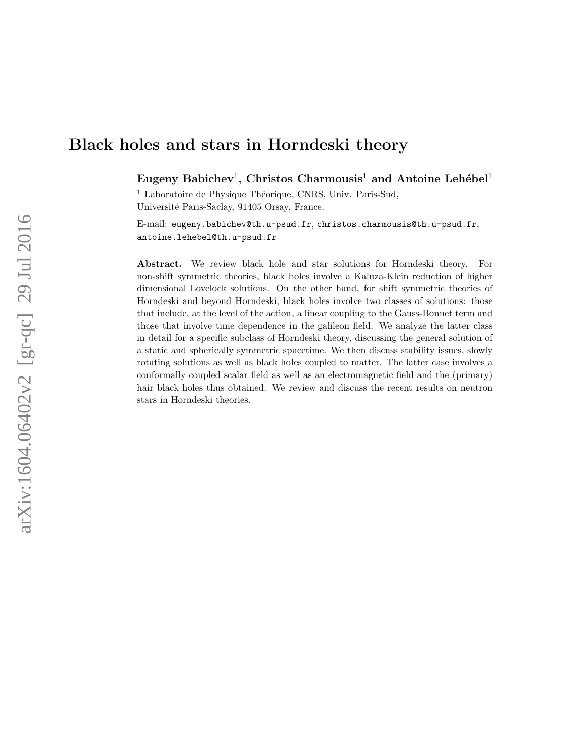# Black holes and stars in Horndeski theory

Eugeny Babichev<sup>1</sup>, Christos Charmousis<sup>1</sup> and Antoine Lehébel<sup>1</sup>

 $1$  Laboratoire de Physique Théorique, CNRS, Univ. Paris-Sud, Université Paris-Saclay, 91405 Orsay, France.

E-mail: eugeny.babichev@th.u-psud.fr, christos.charmousis@th.u-psud.fr, antoine.lehebel@th.u-psud.fr

Abstract. We review black hole and star solutions for Horndeski theory. For non-shift symmetric theories, black holes involve a Kaluza-Klein reduction of higher dimensional Lovelock solutions. On the other hand, for shift symmetric theories of Horndeski and beyond Horndeski, black holes involve two classes of solutions: those that include, at the level of the action, a linear coupling to the Gauss-Bonnet term and those that involve time dependence in the galileon field. We analyze the latter class in detail for a specific subclass of Horndeski theory, discussing the general solution of a static and spherically symmetric spacetime. We then discuss stability issues, slowly rotating solutions as well as black holes coupled to matter. The latter case involves a conformally coupled scalar field as well as an electromagnetic field and the (primary) hair black holes thus obtained. We review and discuss the recent results on neutron stars in Horndeski theories.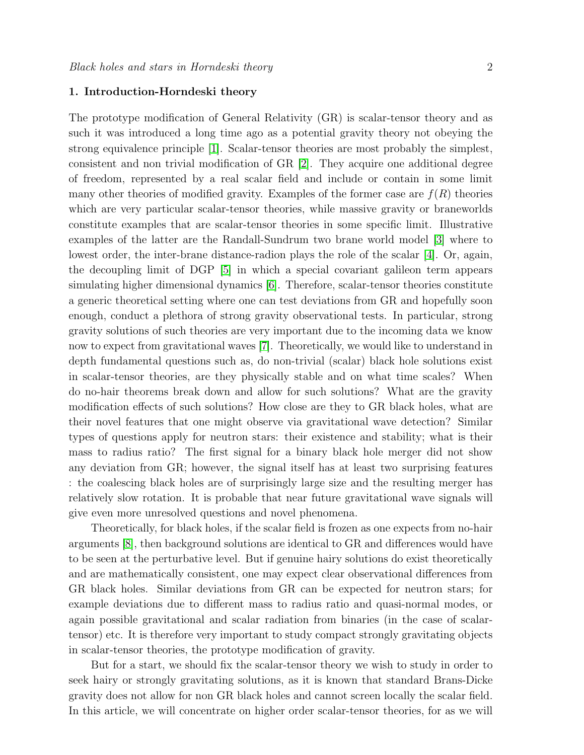# 1. Introduction-Horndeski theory

The prototype modification of General Relativity (GR) is scalar-tensor theory and as such it was introduced a long time ago as a potential gravity theory not obeying the strong equivalence principle [\[1\]](#page-25-0). Scalar-tensor theories are most probably the simplest, consistent and non trivial modification of GR [\[2\]](#page-25-1). They acquire one additional degree of freedom, represented by a real scalar field and include or contain in some limit many other theories of modified gravity. Examples of the former case are  $f(R)$  theories which are very particular scalar-tensor theories, while massive gravity or braneworlds constitute examples that are scalar-tensor theories in some specific limit. Illustrative examples of the latter are the Randall-Sundrum two brane world model [\[3\]](#page-25-2) where to lowest order, the inter-brane distance-radion plays the role of the scalar [\[4\]](#page-25-3). Or, again, the decoupling limit of DGP [\[5\]](#page-25-4) in which a special covariant galileon term appears simulating higher dimensional dynamics [\[6\]](#page-25-5). Therefore, scalar-tensor theories constitute a generic theoretical setting where one can test deviations from GR and hopefully soon enough, conduct a plethora of strong gravity observational tests. In particular, strong gravity solutions of such theories are very important due to the incoming data we know now to expect from gravitational waves [\[7\]](#page-25-6). Theoretically, we would like to understand in depth fundamental questions such as, do non-trivial (scalar) black hole solutions exist in scalar-tensor theories, are they physically stable and on what time scales? When do no-hair theorems break down and allow for such solutions? What are the gravity modification effects of such solutions? How close are they to GR black holes, what are their novel features that one might observe via gravitational wave detection? Similar types of questions apply for neutron stars: their existence and stability; what is their mass to radius ratio? The first signal for a binary black hole merger did not show any deviation from GR; however, the signal itself has at least two surprising features : the coalescing black holes are of surprisingly large size and the resulting merger has relatively slow rotation. It is probable that near future gravitational wave signals will give even more unresolved questions and novel phenomena.

Theoretically, for black holes, if the scalar field is frozen as one expects from no-hair arguments [\[8\]](#page-25-7), then background solutions are identical to GR and differences would have to be seen at the perturbative level. But if genuine hairy solutions do exist theoretically and are mathematically consistent, one may expect clear observational differences from GR black holes. Similar deviations from GR can be expected for neutron stars; for example deviations due to different mass to radius ratio and quasi-normal modes, or again possible gravitational and scalar radiation from binaries (in the case of scalartensor) etc. It is therefore very important to study compact strongly gravitating objects in scalar-tensor theories, the prototype modification of gravity.

But for a start, we should fix the scalar-tensor theory we wish to study in order to seek hairy or strongly gravitating solutions, as it is known that standard Brans-Dicke gravity does not allow for non GR black holes and cannot screen locally the scalar field. In this article, we will concentrate on higher order scalar-tensor theories, for as we will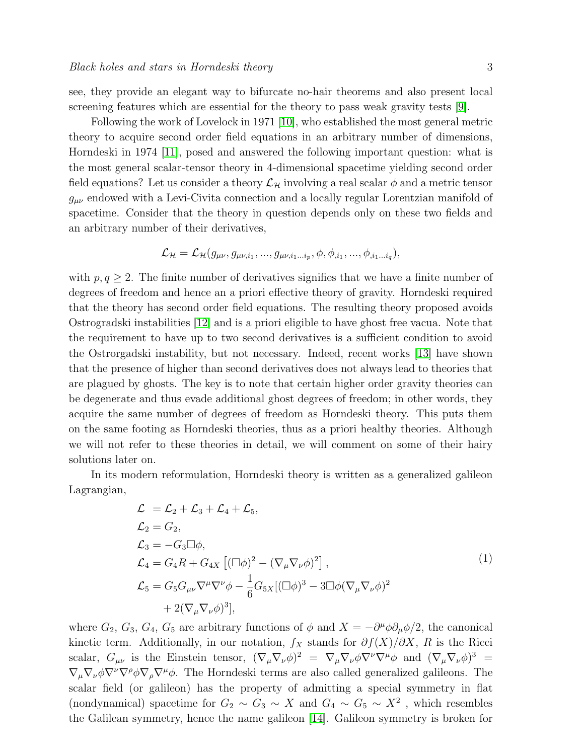see, they provide an elegant way to bifurcate no-hair theorems and also present local screening features which are essential for the theory to pass weak gravity tests [\[9\]](#page-25-8).

Following the work of Lovelock in 1971 [\[10\]](#page-25-9), who established the most general metric theory to acquire second order field equations in an arbitrary number of dimensions, Horndeski in 1974 [\[11\]](#page-25-10), posed and answered the following important question: what is the most general scalar-tensor theory in 4-dimensional spacetime yielding second order field equations? Let us consider a theory  $\mathcal{L}_{\mathcal{H}}$  involving a real scalar  $\phi$  and a metric tensor  $g_{\mu\nu}$  endowed with a Levi-Civita connection and a locally regular Lorentzian manifold of spacetime. Consider that the theory in question depends only on these two fields and an arbitrary number of their derivatives,

$$
\mathcal{L}_{\mathcal{H}} = \mathcal{L}_{\mathcal{H}}(g_{\mu\nu}, g_{\mu\nu, i_1}, ..., g_{\mu\nu, i_1...i_p}, \phi, \phi_{,i_1}, ..., \phi_{,i_1...i_q}),
$$

with  $p, q \geq 2$ . The finite number of derivatives signifies that we have a finite number of degrees of freedom and hence an a priori effective theory of gravity. Horndeski required that the theory has second order field equations. The resulting theory proposed avoids Ostrogradski instabilities [\[12\]](#page-25-11) and is a priori eligible to have ghost free vacua. Note that the requirement to have up to two second derivatives is a sufficient condition to avoid the Ostrorgadski instability, but not necessary. Indeed, recent works [\[13\]](#page-25-12) have shown that the presence of higher than second derivatives does not always lead to theories that are plagued by ghosts. The key is to note that certain higher order gravity theories can be degenerate and thus evade additional ghost degrees of freedom; in other words, they acquire the same number of degrees of freedom as Horndeski theory. This puts them on the same footing as Horndeski theories, thus as a priori healthy theories. Although we will not refer to these theories in detail, we will comment on some of their hairy solutions later on.

In its modern reformulation, Horndeski theory is written as a generalized galileon Lagrangian,

<span id="page-2-0"></span>
$$
\mathcal{L} = \mathcal{L}_2 + \mathcal{L}_3 + \mathcal{L}_4 + \mathcal{L}_5,
$$
\n
$$
\mathcal{L}_2 = G_2,
$$
\n
$$
\mathcal{L}_3 = -G_3 \Box \phi,
$$
\n
$$
\mathcal{L}_4 = G_4 R + G_{4X} \left[ (\Box \phi)^2 - (\nabla_\mu \nabla_\nu \phi)^2 \right],
$$
\n
$$
\mathcal{L}_5 = G_5 G_{\mu\nu} \nabla^\mu \nabla^\nu \phi - \frac{1}{6} G_{5X} [(\Box \phi)^3 - 3 \Box \phi (\nabla_\mu \nabla_\nu \phi)^2
$$
\n
$$
+ 2 (\nabla_\mu \nabla_\nu \phi)^3],
$$
\n(1)

where  $G_2, G_3, G_4, G_5$  are arbitrary functions of  $\phi$  and  $X = -\partial^{\mu}\phi \partial_{\mu}\phi/2$ , the canonical kinetic term. Additionally, in our notation,  $f_X$  stands for  $\partial f(X)/\partial X$ , R is the Ricci scalar,  $G_{\mu\nu}$  is the Einstein tensor,  $(\nabla_{\mu}\nabla_{\nu}\phi)^2 = \nabla_{\mu}\nabla_{\nu}\phi\nabla^{\nu}\nabla^{\mu}\phi$  and  $(\nabla_{\mu}\nabla_{\nu}\phi)^3 =$  $\nabla_{\mu}\nabla_{\nu}\phi\nabla^{\nu}\nabla^{\rho}\phi\nabla_{\rho}\nabla^{\mu}\phi$ . The Horndeski terms are also called generalized galileons. The scalar field (or galileon) has the property of admitting a special symmetry in flat (nondynamical) spacetime for  $G_2 \sim G_3 \sim X$  and  $G_4 \sim G_5 \sim X^2$ , which resembles the Galilean symmetry, hence the name galileon [\[14\]](#page-25-13). Galileon symmetry is broken for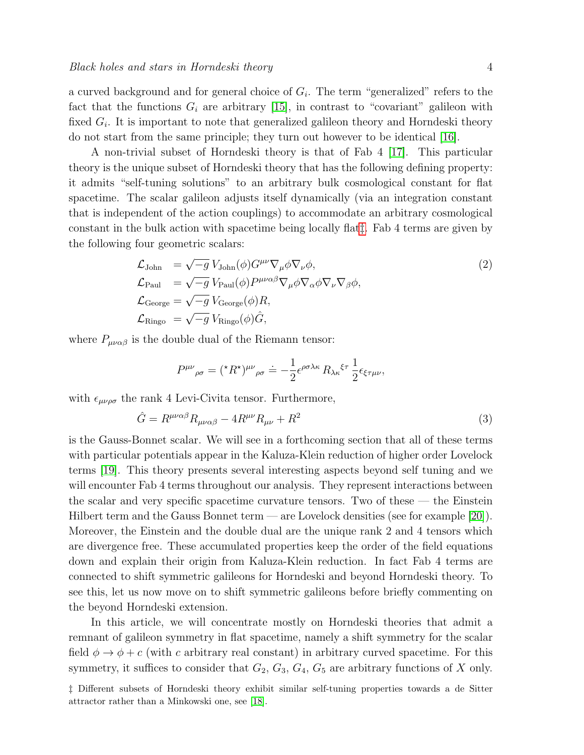a curved background and for general choice of  $G_i$ . The term "generalized" refers to the fact that the functions  $G_i$  are arbitrary [\[15\]](#page-25-14), in contrast to "covariant" galileon with fixed  $G_i$ . It is important to note that generalized galileon theory and Horndeski theory do not start from the same principle; they turn out however to be identical [\[16\]](#page-25-15).

A non-trivial subset of Horndeski theory is that of Fab 4 [\[17\]](#page-25-16). This particular theory is the unique subset of Horndeski theory that has the following defining property: it admits "self-tuning solutions" to an arbitrary bulk cosmological constant for flat spacetime. The scalar galileon adjusts itself dynamically (via an integration constant that is independent of the action couplings) to accommodate an arbitrary cosmological constant in the bulk action with spacetime being locally flat[‡](#page-3-0). Fab 4 terms are given by the following four geometric scalars:

<span id="page-3-1"></span>
$$
\mathcal{L}_{\text{John}} = \sqrt{-g} V_{\text{John}}(\phi) G^{\mu\nu} \nabla_{\mu} \phi \nabla_{\nu} \phi,
$$
\n
$$
\mathcal{L}_{\text{Paul}} = \sqrt{-g} V_{\text{Paul}}(\phi) P^{\mu\nu\alpha\beta} \nabla_{\mu} \phi \nabla_{\alpha} \phi \nabla_{\nu} \nabla_{\beta} \phi,
$$
\n
$$
\mathcal{L}_{\text{George}} = \sqrt{-g} V_{\text{George}}(\phi) R,
$$
\n
$$
\mathcal{L}_{\text{Ringo}} = \sqrt{-g} V_{\text{Ringo}}(\phi) \hat{G},
$$
\n(2)

where  $P_{\mu\nu\alpha\beta}$  is the double dual of the Riemann tensor:

$$
P^{\mu\nu}{}_{\rho\sigma} = ({}^{\star}R^{\star})^{\mu\nu}{}_{\rho\sigma} \doteq -\frac{1}{2} \epsilon^{\rho\sigma\lambda\kappa} R_{\lambda\kappa}{}^{\xi\tau} \frac{1}{2} \epsilon_{\xi\tau\mu\nu},
$$

with  $\epsilon_{\mu\nu\rho\sigma}$  the rank 4 Levi-Civita tensor. Furthermore,

<span id="page-3-2"></span>
$$
\hat{G} = R^{\mu\nu\alpha\beta} R_{\mu\nu\alpha\beta} - 4R^{\mu\nu} R_{\mu\nu} + R^2
$$
\n(3)

is the Gauss-Bonnet scalar. We will see in a forthcoming section that all of these terms with particular potentials appear in the Kaluza-Klein reduction of higher order Lovelock terms [\[19\]](#page-26-0). This theory presents several interesting aspects beyond self tuning and we will encounter Fab 4 terms throughout our analysis. They represent interactions between the scalar and very specific spacetime curvature tensors. Two of these — the Einstein Hilbert term and the Gauss Bonnet term — are Lovelock densities (see for example [\[20\]](#page-26-1)). Moreover, the Einstein and the double dual are the unique rank 2 and 4 tensors which are divergence free. These accumulated properties keep the order of the field equations down and explain their origin from Kaluza-Klein reduction. In fact Fab 4 terms are connected to shift symmetric galileons for Horndeski and beyond Horndeski theory. To see this, let us now move on to shift symmetric galileons before briefly commenting on the beyond Horndeski extension.

In this article, we will concentrate mostly on Horndeski theories that admit a remnant of galileon symmetry in flat spacetime, namely a shift symmetry for the scalar field  $\phi \rightarrow \phi + c$  (with c arbitrary real constant) in arbitrary curved spacetime. For this symmetry, it suffices to consider that  $G_2, G_3, G_4, G_5$  are arbitrary functions of X only.

<span id="page-3-0"></span><sup>‡</sup> Different subsets of Horndeski theory exhibit similar self-tuning properties towards a de Sitter attractor rather than a Minkowski one, see [\[18\]](#page-25-17).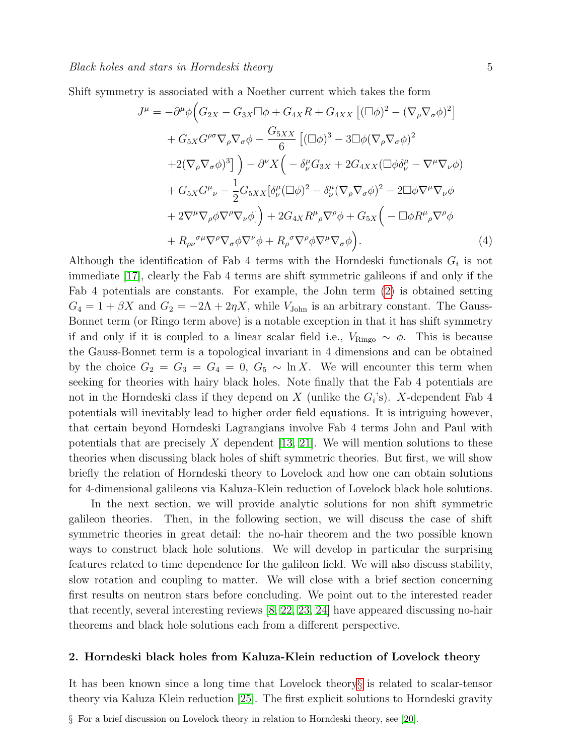Shift symmetry is associated with a Noether current which takes the form

$$
J^{\mu} = -\partial^{\mu}\phi \Big( G_{2X} - G_{3X} \Box \phi + G_{4X}R + G_{4XX} \left[ (\Box \phi)^{2} - (\nabla_{\rho} \nabla_{\sigma} \phi)^{2} \right] + G_{5X} G^{\rho\sigma} \nabla_{\rho} \nabla_{\sigma} \phi - \frac{G_{5XX}}{6} \left[ (\Box \phi)^{3} - 3 \Box \phi (\nabla_{\rho} \nabla_{\sigma} \phi)^{2} \right] + 2(\nabla_{\rho} \nabla_{\sigma} \phi)^{3} \right] \Big) - \partial^{\nu} X \Big( - \delta^{\mu}_{\nu} G_{3X} + 2G_{4XX} (\Box \phi \delta^{\mu}_{\nu} - \nabla^{\mu} \nabla_{\nu} \phi) + G_{5X} G^{\mu}{}_{\nu} - \frac{1}{2} G_{5XX} [\delta^{\mu}_{\nu} (\Box \phi)^{2} - \delta^{\mu}_{\nu} (\nabla_{\rho} \nabla_{\sigma} \phi)^{2} - 2 \Box \phi \nabla^{\mu} \nabla_{\nu} \phi + 2 \nabla^{\mu} \nabla_{\rho} \phi \nabla^{\rho} \nabla_{\nu} \phi] \Big) + 2G_{4X} R^{\mu}{}_{\rho} \nabla^{\rho} \phi + G_{5X} \Big( - \Box \phi R^{\mu}{}_{\rho} \nabla^{\rho} \phi + R_{\rho\nu}{}^{\sigma\mu} \nabla^{\rho} \nabla_{\sigma} \phi \nabla^{\nu} \phi + R_{\rho}{}^{\sigma} \nabla^{\rho} \phi \nabla^{\mu} \nabla_{\sigma} \phi \Big).
$$
\n(4)

Although the identification of Fab 4 terms with the Horndeski functionals  $G_i$  is not immediate [\[17\]](#page-25-16), clearly the Fab 4 terms are shift symmetric galileons if and only if the Fab 4 potentials are constants. For example, the John term [\(2\)](#page-3-1) is obtained setting  $G_4 = 1 + \beta X$  and  $G_2 = -2\Lambda + 2\eta X$ , while  $V_{\text{John}}$  is an arbitrary constant. The Gauss-Bonnet term (or Ringo term above) is a notable exception in that it has shift symmetry if and only if it is coupled to a linear scalar field i.e.,  $V_{\text{Ringo}} \sim \phi$ . This is because the Gauss-Bonnet term is a topological invariant in 4 dimensions and can be obtained by the choice  $G_2 = G_3 = G_4 = 0$ ,  $G_5 \sim \ln X$ . We will encounter this term when seeking for theories with hairy black holes. Note finally that the Fab 4 potentials are not in the Horndeski class if they depend on  $X$  (unlike the  $G_i$ 's). X-dependent Fab 4 potentials will inevitably lead to higher order field equations. It is intriguing however, that certain beyond Horndeski Lagrangians involve Fab 4 terms John and Paul with potentials that are precisely X dependent [\[13,](#page-25-12) [21\]](#page-26-2). We will mention solutions to these theories when discussing black holes of shift symmetric theories. But first, we will show briefly the relation of Horndeski theory to Lovelock and how one can obtain solutions for 4-dimensional galileons via Kaluza-Klein reduction of Lovelock black hole solutions.

In the next section, we will provide analytic solutions for non shift symmetric galileon theories. Then, in the following section, we will discuss the case of shift symmetric theories in great detail: the no-hair theorem and the two possible known ways to construct black hole solutions. We will develop in particular the surprising features related to time dependence for the galileon field. We will also discuss stability, slow rotation and coupling to matter. We will close with a brief section concerning first results on neutron stars before concluding. We point out to the interested reader that recently, several interesting reviews [\[8,](#page-25-7) [22,](#page-26-3) [23,](#page-26-4) [24\]](#page-26-5) have appeared discussing no-hair theorems and black hole solutions each from a different perspective.

## 2. Horndeski black holes from Kaluza-Klein reduction of Lovelock theory

It has been known since a long time that Lovelock theory[§](#page-4-0) is related to scalar-tensor theory via Kaluza Klein reduction [\[25\]](#page-26-6). The first explicit solutions to Horndeski gravity

<span id="page-4-0"></span><sup>§</sup> For a brief discussion on Lovelock theory in relation to Horndeski theory, see [\[20\]](#page-26-1).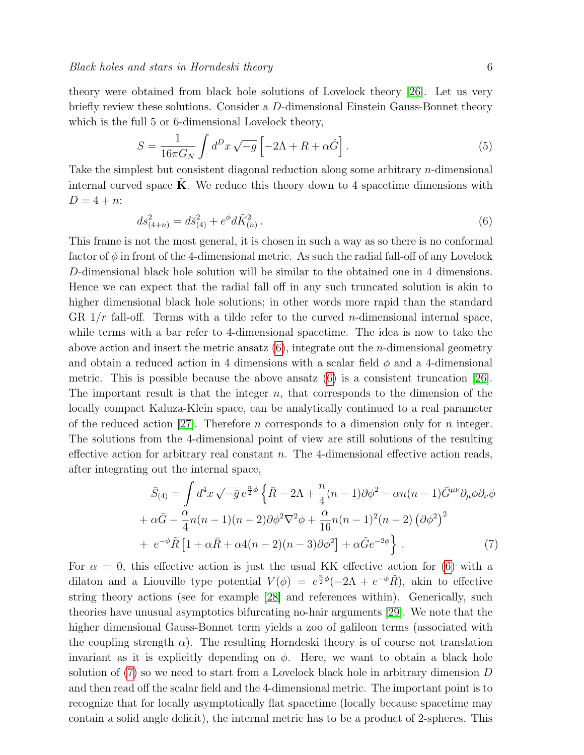theory were obtained from black hole solutions of Lovelock theory [\[26\]](#page-26-7). Let us very briefly review these solutions. Consider a D-dimensional Einstein Gauss-Bonnet theory which is the full 5 or 6-dimensional Lovelock theory,

<span id="page-5-2"></span>
$$
S = \frac{1}{16\pi G_N} \int d^D x \sqrt{-g} \left[ -2\Lambda + R + \alpha \hat{G} \right]. \tag{5}
$$

Take the simplest but consistent diagonal reduction along some arbitrary  $n$ -dimensional internal curved space  $\bf{K}$ . We reduce this theory down to 4 spacetime dimensions with  $D = 4 + n$ :

<span id="page-5-0"></span>
$$
ds_{(4+n)}^2 = d\bar{s}_{(4)}^2 + e^{\phi} d\tilde{K}_{(n)}^2.
$$
\n(6)

This frame is not the most general, it is chosen in such a way as so there is no conformal factor of  $\phi$  in front of the 4-dimensional metric. As such the radial fall-off of any Lovelock D-dimensional black hole solution will be similar to the obtained one in 4 dimensions. Hence we can expect that the radial fall off in any such truncated solution is akin to higher dimensional black hole solutions; in other words more rapid than the standard GR  $1/r$  fall-off. Terms with a tilde refer to the curved *n*-dimensional internal space, while terms with a bar refer to 4-dimensional spacetime. The idea is now to take the above action and insert the metric ansatz  $(6)$ , integrate out the *n*-dimensional geometry and obtain a reduced action in 4 dimensions with a scalar field  $\phi$  and a 4-dimensional metric. This is possible because the above ansatz  $(6)$  is a consistent truncation [\[26\]](#page-26-7). The important result is that the integer  $n$ , that corresponds to the dimension of the locally compact Kaluza-Klein space, can be analytically continued to a real parameter of the reduced action [\[27\]](#page-26-8). Therefore *n* corresponds to a dimension only for *n* integer. The solutions from the 4-dimensional point of view are still solutions of the resulting effective action for arbitrary real constant  $n$ . The 4-dimensional effective action reads, after integrating out the internal space,

<span id="page-5-1"></span>
$$
\bar{S}_{(4)} = \int d^4x \sqrt{-\bar{g}} \, e^{\frac{n}{2}\phi} \left\{ \bar{R} - 2\Lambda + \frac{n}{4}(n-1)\partial\phi^2 - \alpha n(n-1)\bar{G}^{\mu\nu}\partial_\mu\phi\partial_\nu\phi \right.\n+ \alpha \bar{G} - \frac{\alpha}{4}n(n-1)(n-2)\partial\phi^2\nabla^2\phi + \frac{\alpha}{16}n(n-1)^2(n-2)\left(\partial\phi^2\right)^2\n+ \ e^{-\phi}\tilde{R}\left[1 + \alpha\bar{R} + \alpha 4(n-2)(n-3)\partial\phi^2\right] + \alpha \tilde{G}e^{-2\phi} \right\} .
$$
\n(7)

For  $\alpha = 0$ , this effective action is just the usual KK effective action for [\(6\)](#page-5-0) with a dilaton and a Liouville type potential  $V(\phi) = e^{\frac{n}{2}\phi}(-2\Lambda + e^{-\phi}\tilde{R})$ , akin to effective string theory actions (see for example [\[28\]](#page-26-9) and references within). Generically, such theories have unusual asymptotics bifurcating no-hair arguments [\[29\]](#page-26-10). We note that the higher dimensional Gauss-Bonnet term yields a zoo of galileon terms (associated with the coupling strength  $\alpha$ ). The resulting Horndeski theory is of course not translation invariant as it is explicitly depending on  $\phi$ . Here, we want to obtain a black hole solution of  $(7)$  so we need to start from a Lovelock black hole in arbitrary dimension D and then read off the scalar field and the 4-dimensional metric. The important point is to recognize that for locally asymptotically flat spacetime (locally because spacetime may contain a solid angle deficit), the internal metric has to be a product of 2-spheres. This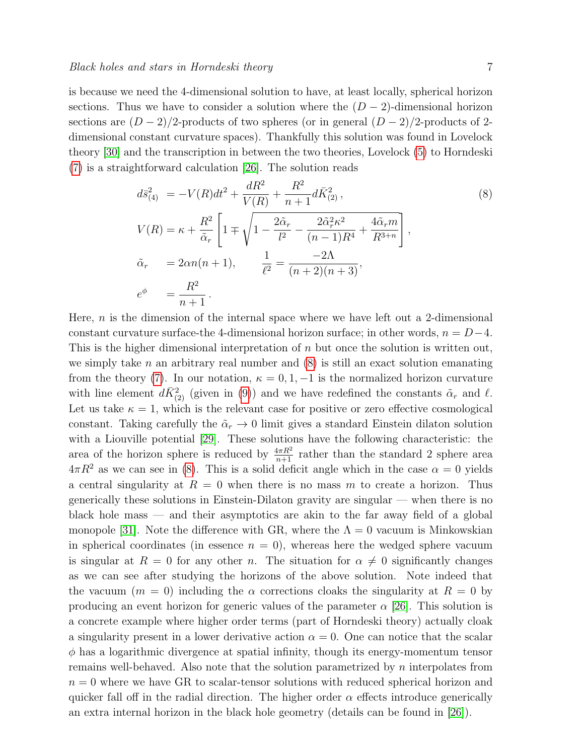is because we need the 4-dimensional solution to have, at least locally, spherical horizon sections. Thus we have to consider a solution where the  $(D-2)$ -dimensional horizon sections are  $(D-2)/2$ -products of two spheres (or in general  $(D-2)/2$ -products of 2dimensional constant curvature spaces). Thankfully this solution was found in Lovelock theory [\[30\]](#page-26-11) and the transcription in between the two theories, Lovelock [\(5\)](#page-5-2) to Horndeski [\(7\)](#page-5-1) is a straightforward calculation [\[26\]](#page-26-7). The solution reads

<span id="page-6-0"></span>
$$
d\bar{s}_{(4)}^2 = -V(R)dt^2 + \frac{dR^2}{V(R)} + \frac{R^2}{n+1}d\bar{K}_{(2)}^2,
$$
  
\n
$$
V(R) = \kappa + \frac{R^2}{\tilde{\alpha}_r} \left[ 1 \mp \sqrt{1 - \frac{2\tilde{\alpha}_r}{l^2} - \frac{2\tilde{\alpha}_r^2 \kappa^2}{(n-1)R^4} + \frac{4\tilde{\alpha}_r m}{R^{3+n}}} \right],
$$
  
\n
$$
\tilde{\alpha}_r = 2\alpha n(n+1), \qquad \frac{1}{\ell^2} = \frac{-2\Lambda}{(n+2)(n+3)},
$$
  
\n
$$
e^{\phi} = \frac{R^2}{n+1}.
$$
\n(8)

Here,  $n$  is the dimension of the internal space where we have left out a 2-dimensional constant curvature surface-the 4-dimensional horizon surface; in other words,  $n = D-4$ . This is the higher dimensional interpretation of  $n$  but once the solution is written out, we simply take n an arbitrary real number and  $(8)$  is still an exact solution emanating from the theory [\(7\)](#page-5-1). In our notation,  $\kappa = 0, 1, -1$  is the normalized horizon curvature with line element  $d\bar{K}_{(2)}^2$  (given in [\(9\)](#page-7-0)) and we have redefined the constants  $\tilde{\alpha}_r$  and  $\ell$ . Let us take  $\kappa = 1$ , which is the relevant case for positive or zero effective cosmological constant. Taking carefully the  $\tilde{\alpha}_r \to 0$  limit gives a standard Einstein dilaton solution with a Liouville potential [\[29\]](#page-26-10). These solutions have the following characteristic: the area of the horizon sphere is reduced by  $\frac{4\pi R^2}{n+1}$  rather than the standard 2 sphere area  $4\pi R^2$  as we can see in [\(8\)](#page-6-0). This is a solid deficit angle which in the case  $\alpha = 0$  yields a central singularity at  $R = 0$  when there is no mass m to create a horizon. Thus generically these solutions in Einstein-Dilaton gravity are singular — when there is no black hole mass — and their asymptotics are akin to the far away field of a global monopole [\[31\]](#page-26-12). Note the difference with GR, where the  $\Lambda = 0$  vacuum is Minkowskian in spherical coordinates (in essence  $n = 0$ ), whereas here the wedged sphere vacuum is singular at  $R = 0$  for any other n. The situation for  $\alpha \neq 0$  significantly changes as we can see after studying the horizons of the above solution. Note indeed that the vacuum  $(m = 0)$  including the  $\alpha$  corrections cloaks the singularity at  $R = 0$  by producing an event horizon for generic values of the parameter  $\alpha$  [\[26\]](#page-26-7). This solution is a concrete example where higher order terms (part of Horndeski theory) actually cloak a singularity present in a lower derivative action  $\alpha = 0$ . One can notice that the scalar  $\phi$  has a logarithmic divergence at spatial infinity, though its energy-momentum tensor remains well-behaved. Also note that the solution parametrized by n interpolates from  $n = 0$  where we have GR to scalar-tensor solutions with reduced spherical horizon and quicker fall off in the radial direction. The higher order  $\alpha$  effects introduce generically an extra internal horizon in the black hole geometry (details can be found in [\[26\]](#page-26-7)).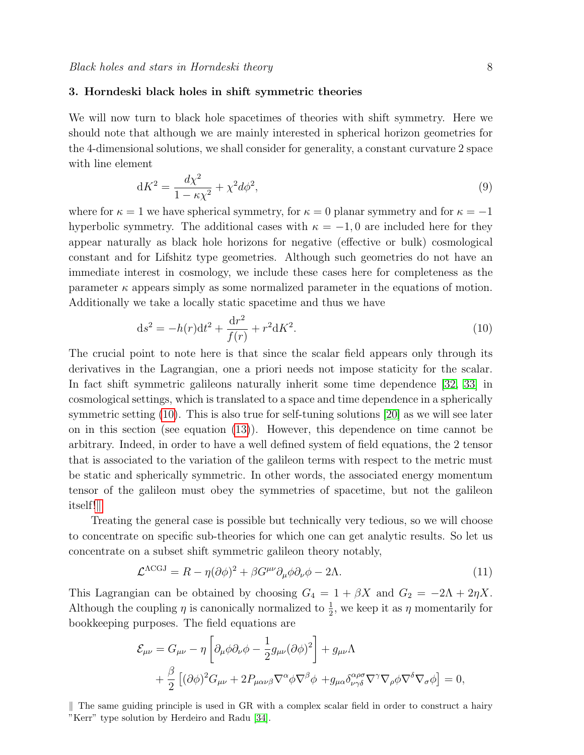## 3. Horndeski black holes in shift symmetric theories

We will now turn to black hole spacetimes of theories with shift symmetry. Here we should note that although we are mainly interested in spherical horizon geometries for the 4-dimensional solutions, we shall consider for generality, a constant curvature 2 space with line element

<span id="page-7-0"></span>
$$
dK^2 = \frac{d\chi^2}{1 - \kappa \chi^2} + \chi^2 d\phi^2,\tag{9}
$$

where for  $\kappa = 1$  we have spherical symmetry, for  $\kappa = 0$  planar symmetry and for  $\kappa = -1$ hyperbolic symmetry. The additional cases with  $\kappa = -1, 0$  are included here for they appear naturally as black hole horizons for negative (effective or bulk) cosmological constant and for Lifshitz type geometries. Although such geometries do not have an immediate interest in cosmology, we include these cases here for completeness as the parameter  $\kappa$  appears simply as some normalized parameter in the equations of motion. Additionally we take a locally static spacetime and thus we have

<span id="page-7-1"></span>
$$
ds^{2} = -h(r)dt^{2} + \frac{dr^{2}}{f(r)} + r^{2}dK^{2}.
$$
\n(10)

The crucial point to note here is that since the scalar field appears only through its derivatives in the Lagrangian, one a priori needs not impose staticity for the scalar. In fact shift symmetric galileons naturally inherit some time dependence [\[32,](#page-26-13) [33\]](#page-26-14) in cosmological settings, which is translated to a space and time dependence in a spherically symmetric setting [\(10\)](#page-7-1). This is also true for self-tuning solutions [\[20\]](#page-26-1) as we will see later on in this section (see equation [\(13\)](#page-8-0)). However, this dependence on time cannot be arbitrary. Indeed, in order to have a well defined system of field equations, the 2 tensor that is associated to the variation of the galileon terms with respect to the metric must be static and spherically symmetric. In other words, the associated energy momentum tensor of the galileon must obey the symmetries of spacetime, but not the galileon itself!||

Treating the general case is possible but technically very tedious, so we will choose to concentrate on specific sub-theories for which one can get analytic results. So let us concentrate on a subset shift symmetric galileon theory notably,

<span id="page-7-3"></span>
$$
\mathcal{L}^{\Lambda CGJ} = R - \eta (\partial \phi)^2 + \beta G^{\mu\nu} \partial_\mu \phi \partial_\nu \phi - 2\Lambda. \tag{11}
$$

This Lagrangian can be obtained by choosing  $G_4 = 1 + \beta X$  and  $G_2 = -2\Lambda + 2\eta X$ . Although the coupling  $\eta$  is canonically normalized to  $\frac{1}{2}$ , we keep it as  $\eta$  momentarily for bookkeeping purposes. The field equations are

<span id="page-7-4"></span>
$$
\mathcal{E}_{\mu\nu} = G_{\mu\nu} - \eta \left[ \partial_{\mu}\phi \partial_{\nu}\phi - \frac{1}{2}g_{\mu\nu}(\partial\phi)^2 \right] + g_{\mu\nu}\Lambda
$$
  
+ 
$$
\frac{\beta}{2} \left[ (\partial\phi)^2 G_{\mu\nu} + 2P_{\mu\alpha\nu\beta} \nabla^{\alpha}\phi \nabla^{\beta}\phi + g_{\mu\alpha}\delta^{\alpha\rho\sigma}_{\nu\gamma\delta} \nabla^{\gamma}\nabla_{\rho}\phi \nabla^{\delta}\nabla_{\sigma}\phi \right] = 0,
$$

<span id="page-7-2"></span> $\parallel$  The same guiding principle is used in GR with a complex scalar field in order to construct a hairy "Kerr" type solution by Herdeiro and Radu [\[34\]](#page-26-15).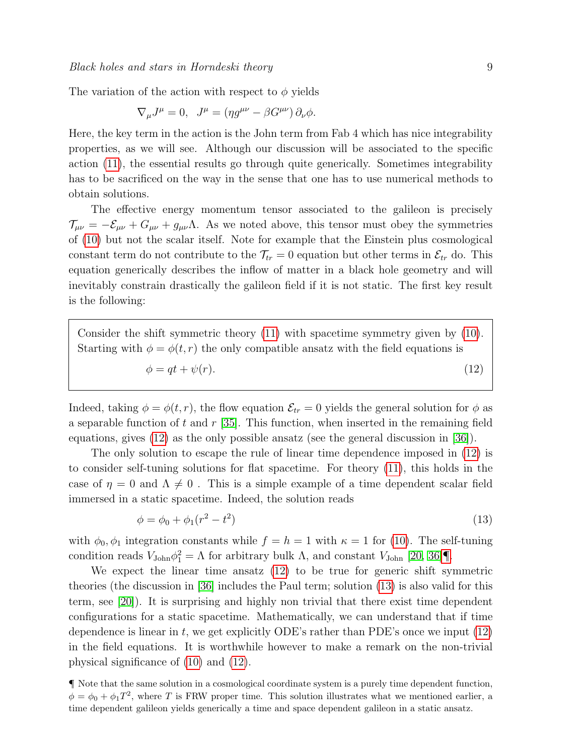The variation of the action with respect to  $\phi$  yields

$$
\nabla_{\mu}J^{\mu} = 0, \quad J^{\mu} = (\eta g^{\mu\nu} - \beta G^{\mu\nu}) \partial_{\nu}\phi.
$$

Here, the key term in the action is the John term from Fab 4 which has nice integrability properties, as we will see. Although our discussion will be associated to the specific action [\(11\)](#page-7-3), the essential results go through quite generically. Sometimes integrability has to be sacrificed on the way in the sense that one has to use numerical methods to obtain solutions.

The effective energy momentum tensor associated to the galileon is precisely  $\mathcal{T}_{\mu\nu} = -\mathcal{E}_{\mu\nu} + G_{\mu\nu} + g_{\mu\nu}\Lambda$ . As we noted above, this tensor must obey the symmetries of [\(10\)](#page-7-1) but not the scalar itself. Note for example that the Einstein plus cosmological constant term do not contribute to the  $\mathcal{T}_{tr} = 0$  equation but other terms in  $\mathcal{E}_{tr}$  do. This equation generically describes the inflow of matter in a black hole geometry and will inevitably constrain drastically the galileon field if it is not static. The first key result is the following:

Consider the shift symmetric theory [\(11\)](#page-7-3) with spacetime symmetry given by [\(10\)](#page-7-1). Starting with  $\phi = \phi(t, r)$  the only compatible ansatz with the field equations is  $\phi = qt + \psi(r).$  (12)

Indeed, taking  $\phi = \phi(t, r)$ , the flow equation  $\mathcal{E}_{tr} = 0$  yields the general solution for  $\phi$  as a separable function of t and  $r$  [\[35\]](#page-26-16). This function, when inserted in the remaining field equations, gives [\(12\)](#page-7-4) as the only possible ansatz (see the general discussion in [\[36\]](#page-26-17)).

The only solution to escape the rule of linear time dependence imposed in [\(12\)](#page-7-4) is to consider self-tuning solutions for flat spacetime. For theory [\(11\)](#page-7-3), this holds in the case of  $\eta = 0$  and  $\Lambda \neq 0$ . This is a simple example of a time dependent scalar field immersed in a static spacetime. Indeed, the solution reads

<span id="page-8-0"></span>
$$
\phi = \phi_0 + \phi_1(r^2 - t^2) \tag{13}
$$

with  $\phi_0, \phi_1$  integration constants while  $f = h = 1$  with  $\kappa = 1$  for [\(10\)](#page-7-1). The self-tuning condition reads  $V_{\text{John}}\phi_1^2 = \Lambda$  for arbitrary bulk  $\Lambda$ , and constant  $V_{\text{John}}$  [\[20,](#page-26-1) [36\]](#page-26-17)[¶](#page-8-1).

We expect the linear time ansatz [\(12\)](#page-7-4) to be true for generic shift symmetric theories (the discussion in [\[36\]](#page-26-17) includes the Paul term; solution [\(13\)](#page-8-0) is also valid for this term, see [\[20\]](#page-26-1)). It is surprising and highly non trivial that there exist time dependent configurations for a static spacetime. Mathematically, we can understand that if time dependence is linear in t, we get explicitly ODE's rather than PDE's once we input  $(12)$ in the field equations. It is worthwhile however to make a remark on the non-trivial physical significance of [\(10\)](#page-7-1) and [\(12\)](#page-7-4).

<span id="page-8-1"></span>¶ Note that the same solution in a cosmological coordinate system is a purely time dependent function,  $\phi = \phi_0 + \phi_1 T^2$ , where T is FRW proper time. This solution illustrates what we mentioned earlier, a time dependent galileon yields generically a time and space dependent galileon in a static ansatz.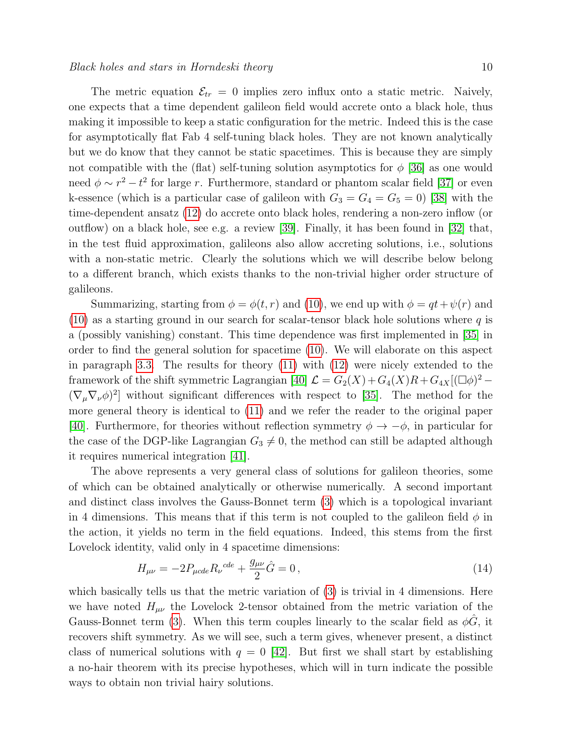The metric equation  $\mathcal{E}_{tr} = 0$  implies zero influx onto a static metric. Naively, one expects that a time dependent galileon field would accrete onto a black hole, thus making it impossible to keep a static configuration for the metric. Indeed this is the case for asymptotically flat Fab 4 self-tuning black holes. They are not known analytically but we do know that they cannot be static spacetimes. This is because they are simply not compatible with the (flat) self-tuning solution asymptotics for  $\phi$  [\[36\]](#page-26-17) as one would need  $\phi \sim r^2 - t^2$  for large r. Furthermore, standard or phantom scalar field [\[37\]](#page-26-18) or even k-essence (which is a particular case of galileon with  $G_3 = G_4 = G_5 = 0$ ) [\[38\]](#page-26-19) with the time-dependent ansatz [\(12\)](#page-7-4) do accrete onto black holes, rendering a non-zero inflow (or outflow) on a black hole, see e.g. a review [\[39\]](#page-26-20). Finally, it has been found in [\[32\]](#page-26-13) that, in the test fluid approximation, galileons also allow accreting solutions, i.e., solutions with a non-static metric. Clearly the solutions which we will describe below belong to a different branch, which exists thanks to the non-trivial higher order structure of galileons.

Summarizing, starting from  $\phi = \phi(t, r)$  and [\(10\)](#page-7-1), we end up with  $\phi = qt + \psi(r)$  and  $(10)$  as a starting ground in our search for scalar-tensor black hole solutions where q is a (possibly vanishing) constant. This time dependence was first implemented in [\[35\]](#page-26-16) in order to find the general solution for spacetime [\(10\)](#page-7-1). We will elaborate on this aspect in paragraph [3.3.](#page-13-0) The results for theory [\(11\)](#page-7-3) with [\(12\)](#page-7-4) were nicely extended to the framework of the shift symmetric Lagrangian [\[40\]](#page-26-21)  $\mathcal{L} = G_2(X) + G_4(X)R + G_{4X}[(\Box \phi)^2 (\nabla_{\mu} \nabla_{\nu} \phi)^2$  without significant differences with respect to [\[35\]](#page-26-16). The method for the more general theory is identical to [\(11\)](#page-7-3) and we refer the reader to the original paper [\[40\]](#page-26-21). Furthermore, for theories without reflection symmetry  $\phi \to -\phi$ , in particular for the case of the DGP-like Lagrangian  $G_3 \neq 0$ , the method can still be adapted although it requires numerical integration [\[41\]](#page-26-22).

The above represents a very general class of solutions for galileon theories, some of which can be obtained analytically or otherwise numerically. A second important and distinct class involves the Gauss-Bonnet term [\(3\)](#page-3-2) which is a topological invariant in 4 dimensions. This means that if this term is not coupled to the galileon field  $\phi$  in the action, it yields no term in the field equations. Indeed, this stems from the first Lovelock identity, valid only in 4 spacetime dimensions:

<span id="page-9-0"></span>
$$
H_{\mu\nu} = -2P_{\mu cde}R_{\nu}^{cde} + \frac{g_{\mu\nu}}{2}\hat{G} = 0, \qquad (14)
$$

which basically tells us that the metric variation of [\(3\)](#page-3-2) is trivial in 4 dimensions. Here we have noted  $H_{\mu\nu}$  the Lovelock 2-tensor obtained from the metric variation of the Gauss-Bonnet term [\(3\)](#page-3-2). When this term couples linearly to the scalar field as  $\phi G$ , it recovers shift symmetry. As we will see, such a term gives, whenever present, a distinct class of numerical solutions with  $q = 0$  [\[42\]](#page-26-23). But first we shall start by establishing a no-hair theorem with its precise hypotheses, which will in turn indicate the possible ways to obtain non trivial hairy solutions.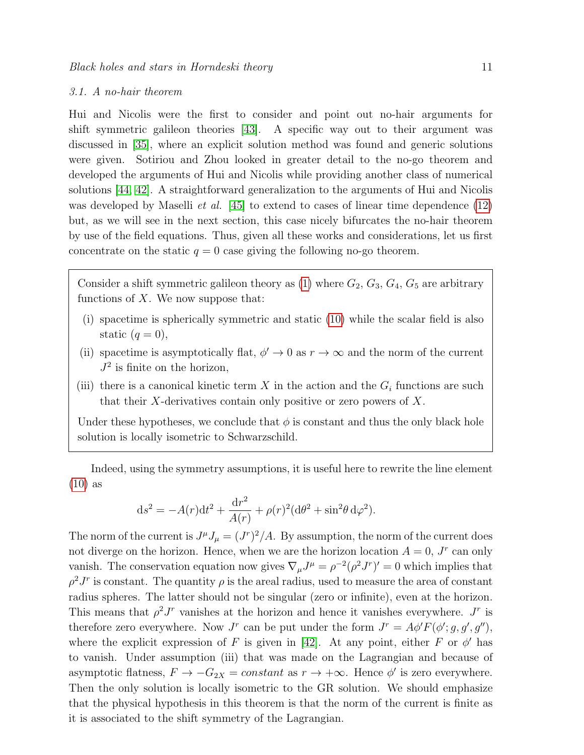# 3.1. A no-hair theorem

Hui and Nicolis were the first to consider and point out no-hair arguments for shift symmetric galileon theories [\[43\]](#page-26-24). A specific way out to their argument was discussed in [\[35\]](#page-26-16), where an explicit solution method was found and generic solutions were given. Sotiriou and Zhou looked in greater detail to the no-go theorem and developed the arguments of Hui and Nicolis while providing another class of numerical solutions [\[44,](#page-26-25) [42\]](#page-26-23). A straightforward generalization to the arguments of Hui and Nicolis was developed by Maselli *et al.* [\[45\]](#page-27-0) to extend to cases of linear time dependence [\(12\)](#page-7-4) but, as we will see in the next section, this case nicely bifurcates the no-hair theorem by use of the field equations. Thus, given all these works and considerations, let us first concentrate on the static  $q = 0$  case giving the following no-go theorem.

Consider a shift symmetric galileon theory as  $(1)$  where  $G_2, G_3, G_4, G_5$  are arbitrary functions of  $X$ . We now suppose that:

- (i) spacetime is spherically symmetric and static [\(10\)](#page-7-1) while the scalar field is also static  $(q = 0)$ ,
- (ii) spacetime is asymptotically flat,  $\phi' \to 0$  as  $r \to \infty$  and the norm of the current  $J^2$  is finite on the horizon,
- (iii) there is a canonical kinetic term  $X$  in the action and the  $G_i$  functions are such that their X-derivatives contain only positive or zero powers of  $X$ .

Under these hypotheses, we conclude that  $\phi$  is constant and thus the only black hole solution is locally isometric to Schwarzschild.

Indeed, using the symmetry assumptions, it is useful here to rewrite the line element  $(10)$  as

$$
ds2 = -A(r)dt2 + \frac{dr2}{A(r)} + \rho(r)2(d\theta2 + \sin2\theta d\varphi2).
$$

The norm of the current is  $J^{\mu}J_{\mu} = (J^{r})^{2}/A$ . By assumption, the norm of the current does not diverge on the horizon. Hence, when we are the horizon location  $A = 0$ , J<sup>r</sup> can only vanish. The conservation equation now gives  $\nabla_{\mu}J^{\mu} = \rho^{-2}(\rho^2 J^r)' = 0$  which implies that  $\rho^2 J^r$  is constant. The quantity  $\rho$  is the areal radius, used to measure the area of constant radius spheres. The latter should not be singular (zero or infinite), even at the horizon. This means that  $\rho^2 J^r$  vanishes at the horizon and hence it vanishes everywhere.  $J^r$  is therefore zero everywhere. Now J<sup>r</sup> can be put under the form  $J^r = A \phi' F(\phi'; g, g', g'')$ , where the explicit expression of F is given in [\[42\]](#page-26-23). At any point, either F or  $\phi'$  has to vanish. Under assumption (iii) that was made on the Lagrangian and because of asymptotic flatness,  $F \to -G_{2X} = constant$  as  $r \to +\infty$ . Hence  $\phi'$  is zero everywhere. Then the only solution is locally isometric to the GR solution. We should emphasize that the physical hypothesis in this theorem is that the norm of the current is finite as it is associated to the shift symmetry of the Lagrangian.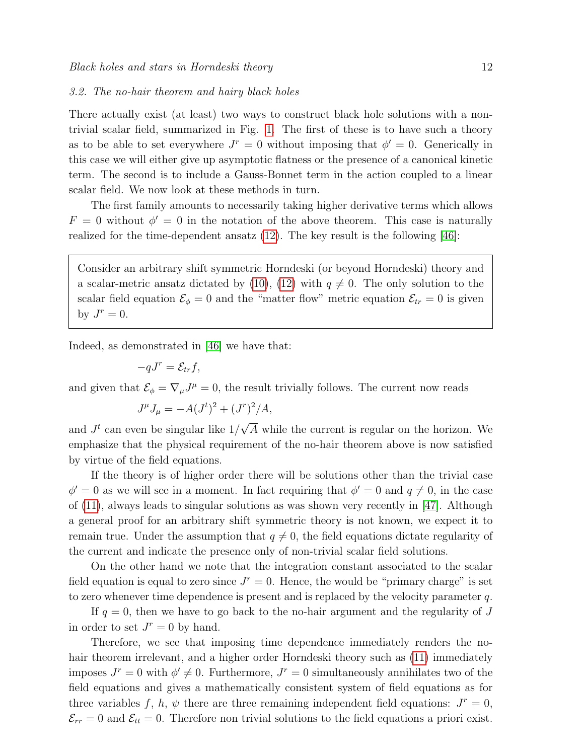#### 3.2. The no-hair theorem and hairy black holes

There actually exist (at least) two ways to construct black hole solutions with a nontrivial scalar field, summarized in Fig. [1.](#page-13-1) The first of these is to have such a theory as to be able to set everywhere  $J^r = 0$  without imposing that  $\phi' = 0$ . Generically in this case we will either give up asymptotic flatness or the presence of a canonical kinetic term. The second is to include a Gauss-Bonnet term in the action coupled to a linear scalar field. We now look at these methods in turn.

The first family amounts to necessarily taking higher derivative terms which allows  $F = 0$  without  $\phi' = 0$  in the notation of the above theorem. This case is naturally realized for the time-dependent ansatz [\(12\)](#page-7-4). The key result is the following [\[46\]](#page-27-1):

Consider an arbitrary shift symmetric Horndeski (or beyond Horndeski) theory and a scalar-metric ansatz dictated by [\(10\)](#page-7-1), [\(12\)](#page-7-4) with  $q \neq 0$ . The only solution to the scalar field equation  $\mathcal{E}_{\phi} = 0$  and the "matter flow" metric equation  $\mathcal{E}_{tr} = 0$  is given by  $J^r=0$ .

Indeed, as demonstrated in [\[46\]](#page-27-1) we have that:

$$
-qJ^r = \mathcal{E}_{tr}f,
$$

and given that  $\mathcal{E}_{\phi} = \nabla_{\mu} J^{\mu} = 0$ , the result trivially follows. The current now reads

$$
J^{\mu}J_{\mu} = -A(J^{t})^{2} + (J^{r})^{2}/A,
$$

and  $J<sup>t</sup>$  can even be singular like  $1/$ A while the current is regular on the horizon. We emphasize that the physical requirement of the no-hair theorem above is now satisfied by virtue of the field equations.

If the theory is of higher order there will be solutions other than the trivial case  $\phi' = 0$  as we will see in a moment. In fact requiring that  $\phi' = 0$  and  $q \neq 0$ , in the case of  $(11)$ , always leads to singular solutions as was shown very recently in [\[47\]](#page-27-2). Although a general proof for an arbitrary shift symmetric theory is not known, we expect it to remain true. Under the assumption that  $q \neq 0$ , the field equations dictate regularity of the current and indicate the presence only of non-trivial scalar field solutions.

On the other hand we note that the integration constant associated to the scalar field equation is equal to zero since  $J^r = 0$ . Hence, the would be "primary charge" is set to zero whenever time dependence is present and is replaced by the velocity parameter q.

If  $q = 0$ , then we have to go back to the no-hair argument and the regularity of J in order to set  $J^r = 0$  by hand.

Therefore, we see that imposing time dependence immediately renders the nohair theorem irrelevant, and a higher order Horndeski theory such as [\(11\)](#page-7-3) immediately imposes  $J^r = 0$  with  $\phi' \neq 0$ . Furthermore,  $J^r = 0$  simultaneously annihilates two of the field equations and gives a mathematically consistent system of field equations as for three variables f, h,  $\psi$  there are three remaining independent field equations:  $J^r = 0$ ,  $\mathcal{E}_{rr} = 0$  and  $\mathcal{E}_{tt} = 0$ . Therefore non trivial solutions to the field equations a priori exist.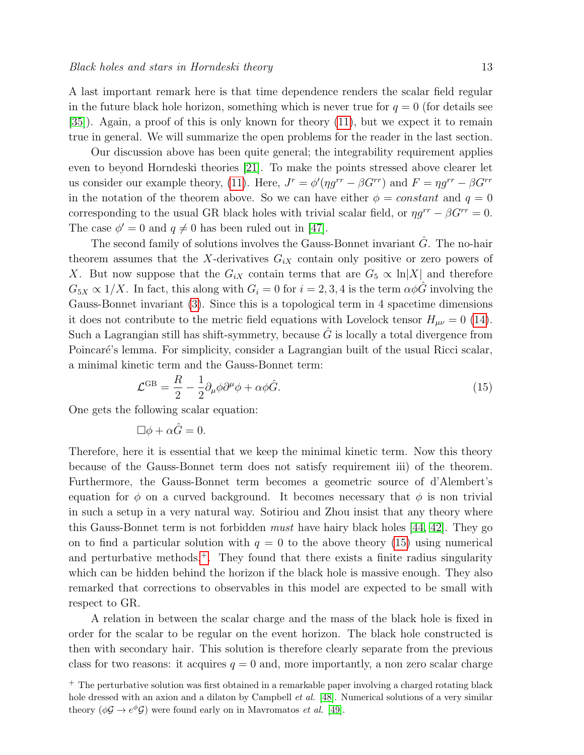A last important remark here is that time dependence renders the scalar field regular in the future black hole horizon, something which is never true for  $q = 0$  (for details see [\[35\]](#page-26-16)). Again, a proof of this is only known for theory [\(11\)](#page-7-3), but we expect it to remain true in general. We will summarize the open problems for the reader in the last section.

Our discussion above has been quite general; the integrability requirement applies even to beyond Horndeski theories [\[21\]](#page-26-2). To make the points stressed above clearer let us consider our example theory, [\(11\)](#page-7-3). Here,  $J^r = \phi'(\eta g^{rr} - \beta G^{rr})$  and  $F = \eta g^{rr} - \beta G^{rr}$ in the notation of the theorem above. So we can have either  $\phi = constant$  and  $q = 0$ corresponding to the usual GR black holes with trivial scalar field, or  $\eta g^{rr} - \beta G^{rr} = 0$ . The case  $\phi' = 0$  and  $q \neq 0$  has been ruled out in [\[47\]](#page-27-2).

The second family of solutions involves the Gauss-Bonnet invariant  $\tilde{G}$ . The no-hair theorem assumes that the X-derivatives  $G_{iX}$  contain only positive or zero powers of X. But now suppose that the  $G_{iX}$  contain terms that are  $G_5 \propto \ln|X|$  and therefore  $G_{5X} \propto 1/X$ . In fact, this along with  $G_i = 0$  for  $i = 2, 3, 4$  is the term  $\alpha \phi G$  involving the Gauss-Bonnet invariant [\(3\)](#page-3-2). Since this is a topological term in 4 spacetime dimensions it does not contribute to the metric field equations with Lovelock tensor  $H_{\mu\nu} = 0$  [\(14\)](#page-9-0). Such a Lagrangian still has shift-symmetry, because  $G$  is locally a total divergence from Poincaré's lemma. For simplicity, consider a Lagrangian built of the usual Ricci scalar, a minimal kinetic term and the Gauss-Bonnet term:

<span id="page-12-0"></span>
$$
\mathcal{L}^{\text{GB}} = \frac{R}{2} - \frac{1}{2} \partial_{\mu} \phi \partial^{\mu} \phi + \alpha \phi \hat{G}.
$$
 (15)

One gets the following scalar equation:

$$
\Box \phi + \alpha \hat{G} = 0.
$$

Therefore, here it is essential that we keep the minimal kinetic term. Now this theory because of the Gauss-Bonnet term does not satisfy requirement iii) of the theorem. Furthermore, the Gauss-Bonnet term becomes a geometric source of d'Alembert's equation for  $\phi$  on a curved background. It becomes necessary that  $\phi$  is non trivial in such a setup in a very natural way. Sotiriou and Zhou insist that any theory where this Gauss-Bonnet term is not forbidden must have hairy black holes [\[44,](#page-26-25) [42\]](#page-26-23). They go on to find a particular solution with  $q = 0$  to the above theory [\(15\)](#page-12-0) using numerical and perturbative methods.<sup>[+](#page-12-1)</sup>. They found that there exists a finite radius singularity which can be hidden behind the horizon if the black hole is massive enough. They also remarked that corrections to observables in this model are expected to be small with respect to GR.

A relation in between the scalar charge and the mass of the black hole is fixed in order for the scalar to be regular on the event horizon. The black hole constructed is then with secondary hair. This solution is therefore clearly separate from the previous class for two reasons: it acquires  $q = 0$  and, more importantly, a non zero scalar charge

<span id="page-12-1"></span><sup>+</sup> The perturbative solution was first obtained in a remarkable paper involving a charged rotating black hole dressed with an axion and a dilaton by Campbell *et al.* [\[48\]](#page-27-3). Numerical solutions of a very similar theory  $(\phi \mathcal{G} \to e^{\phi} \mathcal{G})$  were found early on in Mavromatos *et al.* [\[49\]](#page-27-4).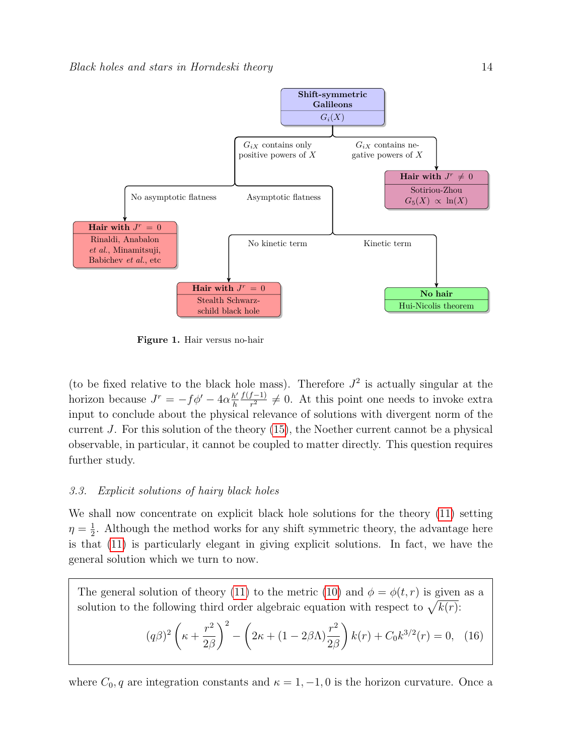

<span id="page-13-1"></span>Figure 1. Hair versus no-hair

(to be fixed relative to the black hole mass). Therefore  $J^2$  is actually singular at the horizon because  $J^r = -f\phi' - 4\alpha \frac{h'}{h}$ h  $f(f-1)$  $\frac{f-1}{r^2} \neq 0$ . At this point one needs to invoke extra input to conclude about the physical relevance of solutions with divergent norm of the current J. For this solution of the theory [\(15\)](#page-12-0), the Noether current cannot be a physical observable, in particular, it cannot be coupled to matter directly. This question requires further study.

#### <span id="page-13-0"></span>3.3. Explicit solutions of hairy black holes

We shall now concentrate on explicit black hole solutions for the theory [\(11\)](#page-7-3) setting  $\eta = \frac{1}{2}$  $\frac{1}{2}$ . Although the method works for any shift symmetric theory, the advantage here is that [\(11\)](#page-7-3) is particularly elegant in giving explicit solutions. In fact, we have the general solution which we turn to now.

The general solution of theory [\(11\)](#page-7-3) to the metric [\(10\)](#page-7-1) and  $\phi = \phi(t, r)$  is given as a solution to the following third order algebraic equation with respect to  $\sqrt{k(r)}$ :

<span id="page-13-2"></span>
$$
(q\beta)^2 \left(\kappa + \frac{r^2}{2\beta}\right)^2 - \left(2\kappa + (1 - 2\beta\Lambda)\frac{r^2}{2\beta}\right)k(r) + C_0k^{3/2}(r) = 0, \quad (16)
$$

where  $C_0$ , q are integration constants and  $\kappa = 1, -1, 0$  is the horizon curvature. Once a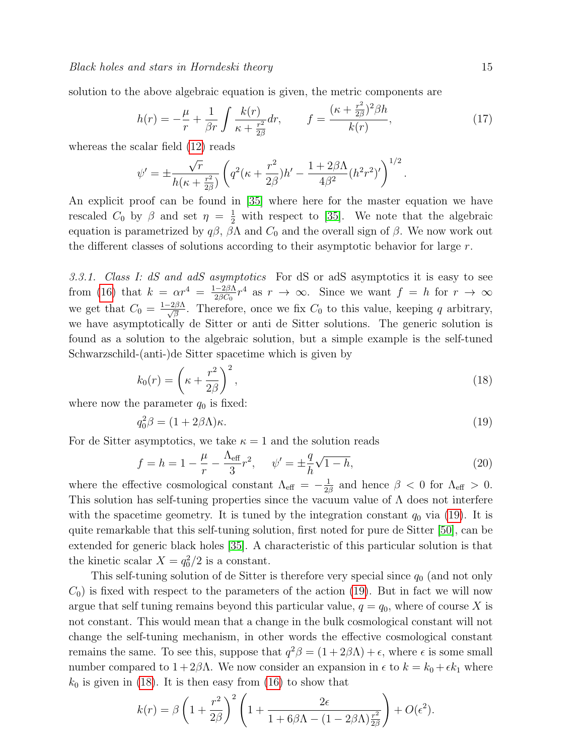solution to the above algebraic equation is given, the metric components are

<span id="page-14-2"></span>
$$
h(r) = -\frac{\mu}{r} + \frac{1}{\beta r} \int \frac{k(r)}{\kappa + \frac{r^2}{2\beta}} dr, \qquad f = \frac{(\kappa + \frac{r^2}{2\beta})^2 \beta h}{k(r)},\tag{17}
$$

whereas the scalar field [\(12\)](#page-7-4) reads

$$
\psi' = \pm \frac{\sqrt{r}}{h(\kappa + \frac{r^2}{2\beta})} \left( q^2(\kappa + \frac{r^2}{2\beta})h' - \frac{1 + 2\beta\Lambda}{4\beta^2} (h^2r^2)'\right)^{1/2}.
$$

An explicit proof can be found in [\[35\]](#page-26-16) where here for the master equation we have rescaled  $C_0$  by  $\beta$  and set  $\eta = \frac{1}{2}$  with respect to [\[35\]](#page-26-16). We note that the algebraic equation is parametrized by  $q\beta$ ,  $\beta\Lambda$  and  $C_0$  and the overall sign of  $\beta$ . We now work out the different classes of solutions according to their asymptotic behavior for large  $r$ .

3.3.1. Class I: dS and adS asymptotics For dS or adS asymptotics it is easy to see from [\(16\)](#page-13-2) that  $k = \alpha r^4 = \frac{1-2\beta\Lambda}{2\beta C_0}$  $\frac{-2\beta\Lambda}{2\beta C_0}r^4$  as  $r \to \infty$ . Since we want  $f = h$  for  $r \to \infty$ we get that  $C_0 = \frac{1-2\beta\Lambda}{\sqrt{\beta}}$ . Therefore, once we fix  $C_0$  to this value, keeping q arbitrary, we have asymptotically de Sitter or anti de Sitter solutions. The generic solution is found as a solution to the algebraic solution, but a simple example is the self-tuned Schwarzschild-(anti-)de Sitter spacetime which is given by

<span id="page-14-1"></span>
$$
k_0(r) = \left(\kappa + \frac{r^2}{2\beta}\right)^2,\tag{18}
$$

where now the parameter  $q_0$  is fixed:

<span id="page-14-0"></span>
$$
q_0^2 \beta = (1 + 2\beta \Lambda)\kappa. \tag{19}
$$

For de Sitter asymptotics, we take  $\kappa = 1$  and the solution reads

<span id="page-14-3"></span>
$$
f = h = 1 - \frac{\mu}{r} - \frac{\Lambda_{\text{eff}}}{3}r^2, \quad \psi' = \pm \frac{q}{h}\sqrt{1 - h},
$$
\n(20)

where the effective cosmological constant  $\Lambda_{\text{eff}} = -\frac{1}{2d}$  $\frac{1}{2\beta}$  and hence  $\beta < 0$  for  $\Lambda_{\text{eff}} > 0$ . This solution has self-tuning properties since the vacuum value of  $\Lambda$  does not interfere with the spacetime geometry. It is tuned by the integration constant  $q_0$  via [\(19\)](#page-14-0). It is quite remarkable that this self-tuning solution, first noted for pure de Sitter [\[50\]](#page-27-5), can be extended for generic black holes [\[35\]](#page-26-16). A characteristic of this particular solution is that the kinetic scalar  $X = q_0^2/2$  is a constant.

This self-tuning solution of de Sitter is therefore very special since  $q_0$  (and not only  $C_0$ ) is fixed with respect to the parameters of the action [\(19\)](#page-14-0). But in fact we will now argue that self tuning remains beyond this particular value,  $q = q_0$ , where of course X is not constant. This would mean that a change in the bulk cosmological constant will not change the self-tuning mechanism, in other words the effective cosmological constant remains the same. To see this, suppose that  $q^2\beta = (1 + 2\beta\Lambda) + \epsilon$ , where  $\epsilon$  is some small number compared to  $1+2\beta\Lambda$ . We now consider an expansion in  $\epsilon$  to  $k = k_0 + \epsilon k_1$  where  $k_0$  is given in [\(18\)](#page-14-1). It is then easy from [\(16\)](#page-13-2) to show that

$$
k(r) = \beta \left( 1 + \frac{r^2}{2\beta} \right)^2 \left( 1 + \frac{2\epsilon}{1 + 6\beta\Lambda - (1 - 2\beta\Lambda)\frac{r^2}{2\beta}} \right) + O(\epsilon^2).
$$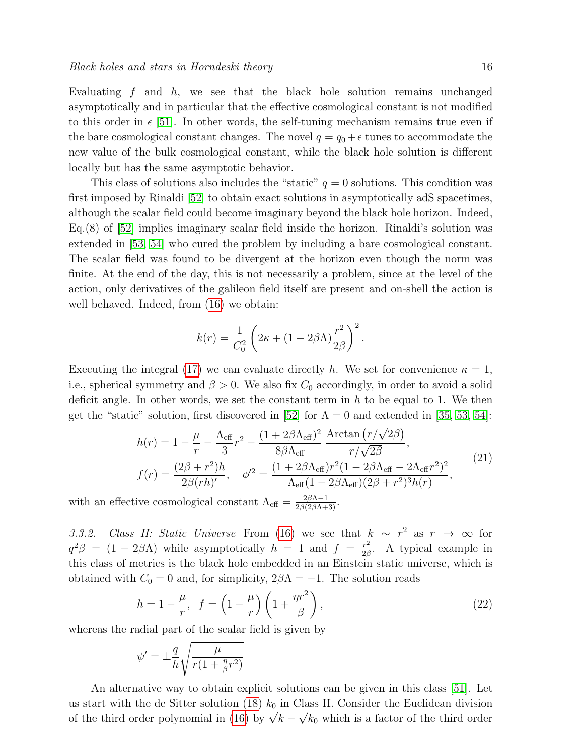Evaluating  $f$  and  $h$ , we see that the black hole solution remains unchanged asymptotically and in particular that the effective cosmological constant is not modified to this order in  $\epsilon$  [\[51\]](#page-27-6). In other words, the self-tuning mechanism remains true even if the bare cosmological constant changes. The novel  $q = q_0 + \epsilon$  tunes to accommodate the new value of the bulk cosmological constant, while the black hole solution is different locally but has the same asymptotic behavior.

This class of solutions also includes the "static"  $q = 0$  solutions. This condition was first imposed by Rinaldi [\[52\]](#page-27-7) to obtain exact solutions in asymptotically adS spacetimes, although the scalar field could become imaginary beyond the black hole horizon. Indeed, Eq.(8) of [\[52\]](#page-27-7) implies imaginary scalar field inside the horizon. Rinaldi's solution was extended in [\[53,](#page-27-8) [54\]](#page-27-9) who cured the problem by including a bare cosmological constant. The scalar field was found to be divergent at the horizon even though the norm was finite. At the end of the day, this is not necessarily a problem, since at the level of the action, only derivatives of the galileon field itself are present and on-shell the action is well behaved. Indeed, from [\(16\)](#page-13-2) we obtain:

$$
k(r) = \frac{1}{C_0^2} \left( 2\kappa + (1 - 2\beta \Lambda) \frac{r^2}{2\beta} \right)^2.
$$

Executing the integral [\(17\)](#page-14-2) we can evaluate directly h. We set for convenience  $\kappa = 1$ , i.e., spherical symmetry and  $\beta > 0$ . We also fix  $C_0$  accordingly, in order to avoid a solid deficit angle. In other words, we set the constant term in  $h$  to be equal to 1. We then get the "static" solution, first discovered in [\[52\]](#page-27-7) for  $\Lambda = 0$  and extended in [\[35,](#page-26-16) [53,](#page-27-8) [54\]](#page-27-9):

<span id="page-15-0"></span>
$$
h(r) = 1 - \frac{\mu}{r} - \frac{\Lambda_{\text{eff}}}{3}r^2 - \frac{(1 + 2\beta\Lambda_{\text{eff}})^2}{8\beta\Lambda_{\text{eff}}} \frac{\text{Arctan}(r/\sqrt{2\beta})}{r/\sqrt{2\beta}},
$$
  

$$
f(r) = \frac{(2\beta + r^2)h}{2\beta(rh)'}, \quad \phi'^2 = \frac{(1 + 2\beta\Lambda_{\text{eff}})r^2(1 - 2\beta\Lambda_{\text{eff}} - 2\Lambda_{\text{eff}}r^2)^2}{\Lambda_{\text{eff}}(1 - 2\beta\Lambda_{\text{eff}})(2\beta + r^2)^3 h(r)},
$$
(21)

with an effective cosmological constant  $\Lambda_{\text{eff}} = \frac{2\beta\Lambda - 1}{2\beta(2\beta\Lambda + 3)}$ .

3.3.2. Class II: Static Universe From [\(16\)](#page-13-2) we see that  $k \sim r^2$  as  $r \to \infty$  for  $q^2\beta = (1 - 2\beta\Lambda)$  while asymptotically  $h = 1$  and  $f = \frac{r^2}{2\beta}$  $\frac{r^2}{2\beta}$ . A typical example in this class of metrics is the black hole embedded in an Einstein static universe, which is obtained with  $C_0 = 0$  and, for simplicity,  $2\beta\Lambda = -1$ . The solution reads

<span id="page-15-1"></span>
$$
h = 1 - \frac{\mu}{r}, \quad f = \left(1 - \frac{\mu}{r}\right) \left(1 + \frac{\eta r^2}{\beta}\right),\tag{22}
$$

whereas the radial part of the scalar field is given by

$$
\psi' = \pm \frac{q}{h} \sqrt{\frac{\mu}{r(1 + \frac{\eta}{\beta}r^2)}}
$$

An alternative way to obtain explicit solutions can be given in this class [\[51\]](#page-27-6). Let us start with the de Sitter solution [\(18\)](#page-14-1)  $k_0$  in Class II. Consider the Euclidean division do the third order polynomial in [\(16\)](#page-13-2) by  $\sqrt{k}$  – √  $\overline{k_0}$  which is a factor of the third order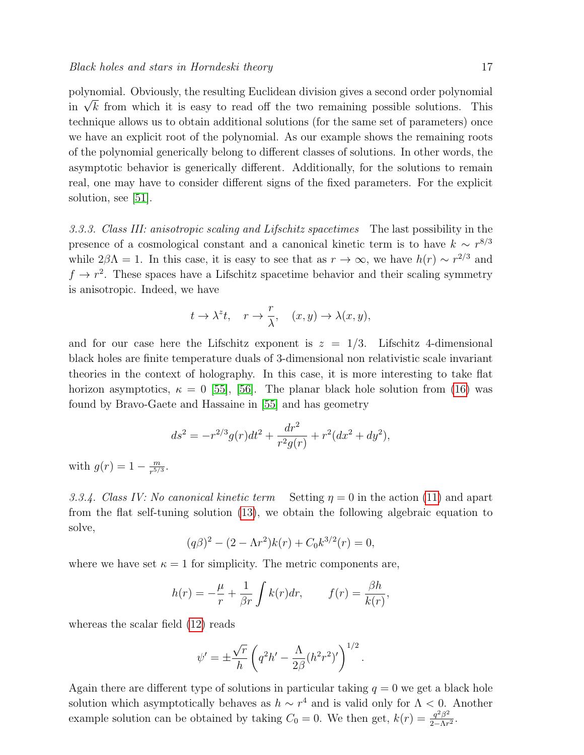polynomial. Obviously, the resulting Euclidean division gives a second order polynomial polynomial. Obviously, the resulting Euclidean division gives a second order polynomial in  $\sqrt{k}$  from which it is easy to read off the two remaining possible solutions. This technique allows us to obtain additional solutions (for the same set of parameters) once we have an explicit root of the polynomial. As our example shows the remaining roots of the polynomial generically belong to different classes of solutions. In other words, the asymptotic behavior is generically different. Additionally, for the solutions to remain real, one may have to consider different signs of the fixed parameters. For the explicit solution, see [\[51\]](#page-27-6).

3.3.3. Class III: anisotropic scaling and Lifschitz spacetimes The last possibility in the presence of a cosmological constant and a canonical kinetic term is to have  $k \sim r^{8/3}$ while  $2\beta\Lambda = 1$ . In this case, it is easy to see that as  $r \to \infty$ , we have  $h(r) \sim r^{2/3}$  and  $f \to r^2$ . These spaces have a Lifschitz spacetime behavior and their scaling symmetry is anisotropic. Indeed, we have

$$
t \to \lambda^z t
$$
,  $r \to \frac{r}{\lambda}$ ,  $(x, y) \to \lambda(x, y)$ ,

and for our case here the Lifschitz exponent is  $z = 1/3$ . Lifschitz 4-dimensional black holes are finite temperature duals of 3-dimensional non relativistic scale invariant theories in the context of holography. In this case, it is more interesting to take flat horizon asymptotics,  $\kappa = 0$  [\[55\]](#page-27-10), [\[56\]](#page-27-11). The planar black hole solution from [\(16\)](#page-13-2) was found by Bravo-Gaete and Hassaine in [\[55\]](#page-27-10) and has geometry

$$
ds^{2} = -r^{2/3}g(r)dt^{2} + \frac{dr^{2}}{r^{2}g(r)} + r^{2}(dx^{2} + dy^{2}),
$$

with  $g(r) = 1 - \frac{m}{r^{5/2}}$  $\frac{m}{r^{5/3}}$ .

3.3.4. Class IV: No canonical kinetic term Setting  $\eta = 0$  in the action [\(11\)](#page-7-3) and apart from the flat self-tuning solution [\(13\)](#page-8-0), we obtain the following algebraic equation to solve,

$$
(q\beta)^{2} - (2 - \Lambda r^{2})k(r) + C_{0}k^{3/2}(r) = 0,
$$

where we have set  $\kappa = 1$  for simplicity. The metric components are,

$$
h(r) = -\frac{\mu}{r} + \frac{1}{\beta r} \int k(r) dr, \qquad f(r) = \frac{\beta h}{k(r)},
$$

whereas the scalar field [\(12\)](#page-7-4) reads

$$
\psi' = \pm \frac{\sqrt{r}}{h} \left( q^2 h' - \frac{\Lambda}{2\beta} (h^2 r^2)' \right)^{1/2}.
$$

Again there are different type of solutions in particular taking  $q = 0$  we get a black hole solution which asymptotically behaves as  $h \sim r^4$  and is valid only for  $\Lambda < 0$ . Another example solution can be obtained by taking  $C_0 = 0$ . We then get,  $k(r) = \frac{q^2\beta^2}{2\Delta r}$  $\frac{q^2\beta^2}{2-\Lambda r^2}$ .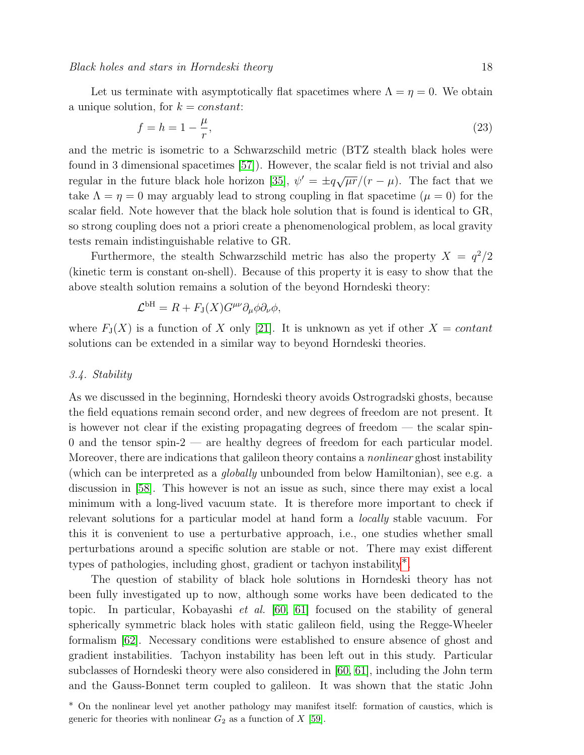Let us terminate with asymptotically flat spacetimes where  $\Lambda = \eta = 0$ . We obtain a unique solution, for  $k = constant$ :

<span id="page-17-1"></span>
$$
f = h = 1 - \frac{\mu}{r},\tag{23}
$$

and the metric is isometric to a Schwarzschild metric (BTZ stealth black holes were found in 3 dimensional spacetimes [\[57\]](#page-27-12)). However, the scalar field is not trivial and also regular in the future black hole horizon [\[35\]](#page-26-16),  $\psi' = \pm q \sqrt{\mu r}/(r - \mu)$ . The fact that we take  $\Lambda = \eta = 0$  may arguably lead to strong coupling in flat spacetime  $(\mu = 0)$  for the scalar field. Note however that the black hole solution that is found is identical to GR, so strong coupling does not a priori create a phenomenological problem, as local gravity tests remain indistinguishable relative to GR.

Furthermore, the stealth Schwarzschild metric has also the property  $X = q^2/2$ (kinetic term is constant on-shell). Because of this property it is easy to show that the above stealth solution remains a solution of the beyond Horndeski theory:

$$
\mathcal{L}^{\text{bH}} = R + F_{\text{J}}(X) G^{\mu\nu} \partial_{\mu} \phi \partial_{\nu} \phi,
$$

where  $F_{J}(X)$  is a function of X only [\[21\]](#page-26-2). It is unknown as yet if other  $X =$  contant solutions can be extended in a similar way to beyond Horndeski theories.

## 3.4. Stability

As we discussed in the beginning, Horndeski theory avoids Ostrogradski ghosts, because the field equations remain second order, and new degrees of freedom are not present. It is however not clear if the existing propagating degrees of freedom — the scalar spin-0 and the tensor spin-2 — are healthy degrees of freedom for each particular model. Moreover, there are indications that galileon theory contains a *nonlinear* ghost instability (which can be interpreted as a globally unbounded from below Hamiltonian), see e.g. a discussion in [\[58\]](#page-27-13). This however is not an issue as such, since there may exist a local minimum with a long-lived vacuum state. It is therefore more important to check if relevant solutions for a particular model at hand form a locally stable vacuum. For this it is convenient to use a perturbative approach, i.e., one studies whether small perturbations around a specific solution are stable or not. There may exist different types of pathologies, including ghost, gradient or tachyon instability[∗](#page-17-0).

The question of stability of black hole solutions in Horndeski theory has not been fully investigated up to now, although some works have been dedicated to the topic. In particular, Kobayashi et al. [\[60,](#page-27-14) [61\]](#page-27-15) focused on the stability of general spherically symmetric black holes with static galileon field, using the Regge-Wheeler formalism [\[62\]](#page-27-16). Necessary conditions were established to ensure absence of ghost and gradient instabilities. Tachyon instability has been left out in this study. Particular subclasses of Horndeski theory were also considered in [\[60,](#page-27-14) [61\]](#page-27-15), including the John term and the Gauss-Bonnet term coupled to galileon. It was shown that the static John

<span id="page-17-0"></span><sup>∗</sup> On the nonlinear level yet another pathology may manifest itself: formation of caustics, which is generic for theories with nonlinear  $G_2$  as a function of  $X$  [\[59\]](#page-27-17).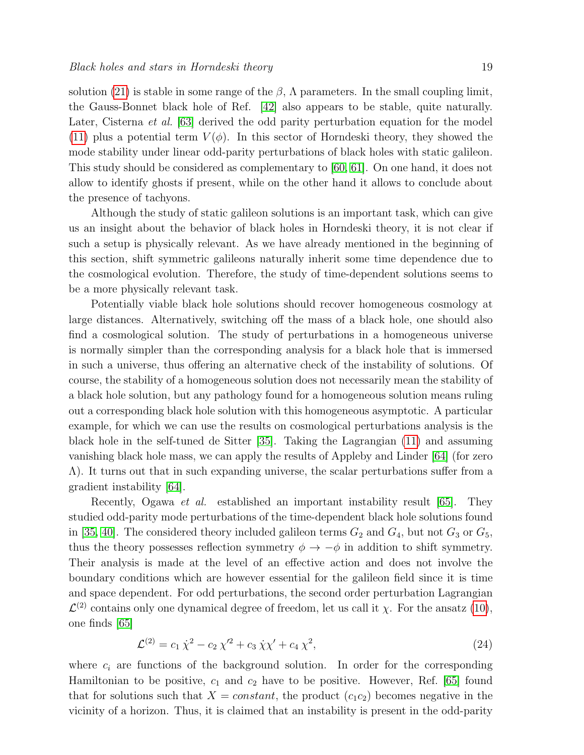solution [\(21\)](#page-15-0) is stable in some range of the  $\beta$ ,  $\Lambda$  parameters. In the small coupling limit, the Gauss-Bonnet black hole of Ref. [\[42\]](#page-26-23) also appears to be stable, quite naturally. Later, Cisterna *et al.* [\[63\]](#page-27-18) derived the odd parity perturbation equation for the model [\(11\)](#page-7-3) plus a potential term  $V(\phi)$ . In this sector of Horndeski theory, they showed the mode stability under linear odd-parity perturbations of black holes with static galileon. This study should be considered as complementary to [\[60,](#page-27-14) [61\]](#page-27-15). On one hand, it does not allow to identify ghosts if present, while on the other hand it allows to conclude about the presence of tachyons.

Although the study of static galileon solutions is an important task, which can give us an insight about the behavior of black holes in Horndeski theory, it is not clear if such a setup is physically relevant. As we have already mentioned in the beginning of this section, shift symmetric galileons naturally inherit some time dependence due to the cosmological evolution. Therefore, the study of time-dependent solutions seems to be a more physically relevant task.

Potentially viable black hole solutions should recover homogeneous cosmology at large distances. Alternatively, switching off the mass of a black hole, one should also find a cosmological solution. The study of perturbations in a homogeneous universe is normally simpler than the corresponding analysis for a black hole that is immersed in such a universe, thus offering an alternative check of the instability of solutions. Of course, the stability of a homogeneous solution does not necessarily mean the stability of a black hole solution, but any pathology found for a homogeneous solution means ruling out a corresponding black hole solution with this homogeneous asymptotic. A particular example, for which we can use the results on cosmological perturbations analysis is the black hole in the self-tuned de Sitter [\[35\]](#page-26-16). Taking the Lagrangian [\(11\)](#page-7-3) and assuming vanishing black hole mass, we can apply the results of Appleby and Linder [\[64\]](#page-27-19) (for zero Λ). It turns out that in such expanding universe, the scalar perturbations suffer from a gradient instability [\[64\]](#page-27-19).

Recently, Ogawa et al. established an important instability result [\[65\]](#page-27-20). They studied odd-parity mode perturbations of the time-dependent black hole solutions found in [\[35,](#page-26-16) [40\]](#page-26-21). The considered theory included galileon terms  $G_2$  and  $G_4$ , but not  $G_3$  or  $G_5$ , thus the theory possesses reflection symmetry  $\phi \to -\phi$  in addition to shift symmetry. Their analysis is made at the level of an effective action and does not involve the boundary conditions which are however essential for the galileon field since it is time and space dependent. For odd perturbations, the second order perturbation Lagrangian  $\mathcal{L}^{(2)}$  contains only one dynamical degree of freedom, let us call it  $\chi$ . For the ansatz [\(10\)](#page-7-1), one finds [\[65\]](#page-27-20)

<span id="page-18-0"></span>
$$
\mathcal{L}^{(2)} = c_1 \dot{\chi}^2 - c_2 \chi'^2 + c_3 \dot{\chi} \chi' + c_4 \chi^2, \tag{24}
$$

where  $c_i$  are functions of the background solution. In order for the corresponding Hamiltonian to be positive,  $c_1$  and  $c_2$  have to be positive. However, Ref. [\[65\]](#page-27-20) found that for solutions such that  $X = constant$ , the product  $(c_1c_2)$  becomes negative in the vicinity of a horizon. Thus, it is claimed that an instability is present in the odd-parity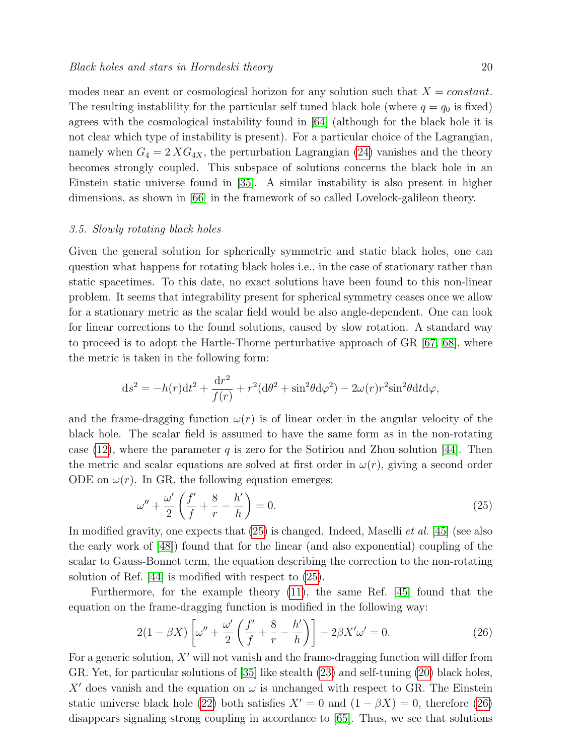modes near an event or cosmological horizon for any solution such that  $X = constant$ . The resulting instablility for the particular self tuned black hole (where  $q = q_0$  is fixed) agrees with the cosmological instability found in [\[64\]](#page-27-19) (although for the black hole it is not clear which type of instability is present). For a particular choice of the Lagrangian, namely when  $G_4 = 2 X G_{4X}$ , the perturbation Lagrangian [\(24\)](#page-18-0) vanishes and the theory becomes strongly coupled. This subspace of solutions concerns the black hole in an Einstein static universe found in [\[35\]](#page-26-16). A similar instability is also present in higher dimensions, as shown in [\[66\]](#page-27-21) in the framework of so called Lovelock-galileon theory.

#### 3.5. Slowly rotating black holes

Given the general solution for spherically symmetric and static black holes, one can question what happens for rotating black holes i.e., in the case of stationary rather than static spacetimes. To this date, no exact solutions have been found to this non-linear problem. It seems that integrability present for spherical symmetry ceases once we allow for a stationary metric as the scalar field would be also angle-dependent. One can look for linear corrections to the found solutions, caused by slow rotation. A standard way to proceed is to adopt the Hartle-Thorne perturbative approach of GR [\[67,](#page-27-22) [68\]](#page-27-23), where the metric is taken in the following form:

$$
ds^{2} = -h(r)dt^{2} + \frac{dr^{2}}{f(r)} + r^{2}(d\theta^{2} + \sin^{2}\theta d\varphi^{2}) - 2\omega(r)r^{2}\sin^{2}\theta dt d\varphi,
$$

and the frame-dragging function  $\omega(r)$  is of linear order in the angular velocity of the black hole. The scalar field is assumed to have the same form as in the non-rotating case [\(12\)](#page-7-4), where the parameter q is zero for the Sotiriou and Zhou solution [\[44\]](#page-26-25). Then the metric and scalar equations are solved at first order in  $\omega(r)$ , giving a second order ODE on  $\omega(r)$ . In GR, the following equation emerges:

<span id="page-19-0"></span>
$$
\omega'' + \frac{\omega'}{2} \left( \frac{f'}{f} + \frac{8}{r} - \frac{h'}{h} \right) = 0. \tag{25}
$$

In modified gravity, one expects that [\(25\)](#page-19-0) is changed. Indeed, Maselli et al. [\[45\]](#page-27-0) (see also the early work of [\[48\]](#page-27-3)) found that for the linear (and also exponential) coupling of the scalar to Gauss-Bonnet term, the equation describing the correction to the non-rotating solution of Ref. [\[44\]](#page-26-25) is modified with respect to [\(25\)](#page-19-0).

Furthermore, for the example theory [\(11\)](#page-7-3), the same Ref. [\[45\]](#page-27-0) found that the equation on the frame-dragging function is modified in the following way:

<span id="page-19-1"></span>
$$
2(1 - \beta X)\left[\omega'' + \frac{\omega'}{2}\left(\frac{f'}{f} + \frac{8}{r} - \frac{h'}{h}\right)\right] - 2\beta X'\omega' = 0.
$$
 (26)

For a generic solution,  $X'$  will not vanish and the frame-dragging function will differ from GR. Yet, for particular solutions of [\[35\]](#page-26-16) like stealth [\(23\)](#page-17-1) and self-tuning [\(20\)](#page-14-3) black holes, X' does vanish and the equation on  $\omega$  is unchanged with respect to GR. The Einstein static universe black hole [\(22\)](#page-15-1) both satisfies  $X' = 0$  and  $(1 - \beta X) = 0$ , therefore [\(26\)](#page-19-1) disappears signaling strong coupling in accordance to [\[65\]](#page-27-20). Thus, we see that solutions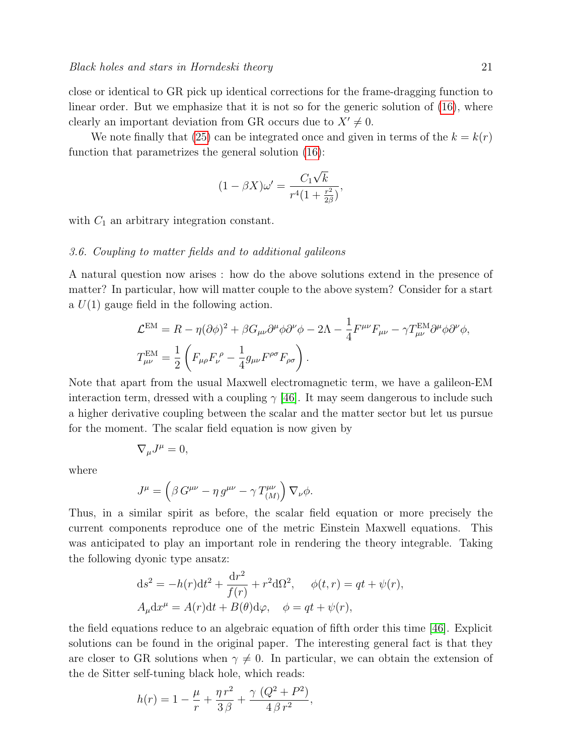close or identical to GR pick up identical corrections for the frame-dragging function to linear order. But we emphasize that it is not so for the generic solution of [\(16\)](#page-13-2), where clearly an important deviation from GR occurs due to  $X' \neq 0$ .

We note finally that [\(25\)](#page-19-0) can be integrated once and given in terms of the  $k = k(r)$ function that parametrizes the general solution [\(16\)](#page-13-2):

$$
(1 - \beta X)\omega' = \frac{C_1\sqrt{k}}{r^4(1 + \frac{r^2}{2\beta})},
$$

with  $C_1$  an arbitrary integration constant.

#### 3.6. Coupling to matter fields and to additional galileons

A natural question now arises : how do the above solutions extend in the presence of matter? In particular, how will matter couple to the above system? Consider for a start a  $U(1)$  gauge field in the following action.

<span id="page-20-0"></span>
$$
\begin{split} \mathcal{L}^{\text{EM}} &= R - \eta (\partial \phi)^2 + \beta G_{\mu\nu} \partial^\mu \phi \partial^\nu \phi - 2 \Lambda - \frac{1}{4} F^{\mu\nu} F_{\mu\nu} - \gamma T^{\text{EM}}_{\mu\nu} \partial^\mu \phi \partial^\nu \phi, \\ T^{\text{EM}}_{\mu\nu} &= \frac{1}{2} \left( F_{\mu\rho} F^{\ \rho}_\nu - \frac{1}{4} g_{\mu\nu} F^{\rho\sigma} F_{\rho\sigma} \right). \end{split}
$$

Note that apart from the usual Maxwell electromagnetic term, we have a galileon-EM interaction term, dressed with a coupling  $\gamma$  [\[46\]](#page-27-1). It may seem dangerous to include such a higher derivative coupling between the scalar and the matter sector but let us pursue for the moment. The scalar field equation is now given by

$$
\nabla_{\mu}J^{\mu}=0,
$$

where

$$
J^{\mu} = \left(\beta G^{\mu\nu} - \eta g^{\mu\nu} - \gamma T^{\mu\nu}_{(M)}\right) \nabla_{\nu} \phi.
$$

Thus, in a similar spirit as before, the scalar field equation or more precisely the current components reproduce one of the metric Einstein Maxwell equations. This was anticipated to play an important role in rendering the theory integrable. Taking the following dyonic type ansatz:

$$
ds2 = -h(r)dt2 + \frac{dr2}{f(r)} + r2d\Omega2, \phi(t,r) = qt + \psi(r),
$$
  

$$
A_{\mu}dx^{\mu} = A(r)dt + B(\theta)d\varphi, \phi = qt + \psi(r),
$$

the field equations reduce to an algebraic equation of fifth order this time [\[46\]](#page-27-1). Explicit solutions can be found in the original paper. The interesting general fact is that they are closer to GR solutions when  $\gamma \neq 0$ . In particular, we can obtain the extension of the de Sitter self-tuning black hole, which reads:

$$
h(r) = 1 - \frac{\mu}{r} + \frac{\eta r^2}{3\beta} + \frac{\gamma (Q^2 + P^2)}{4\beta r^2},
$$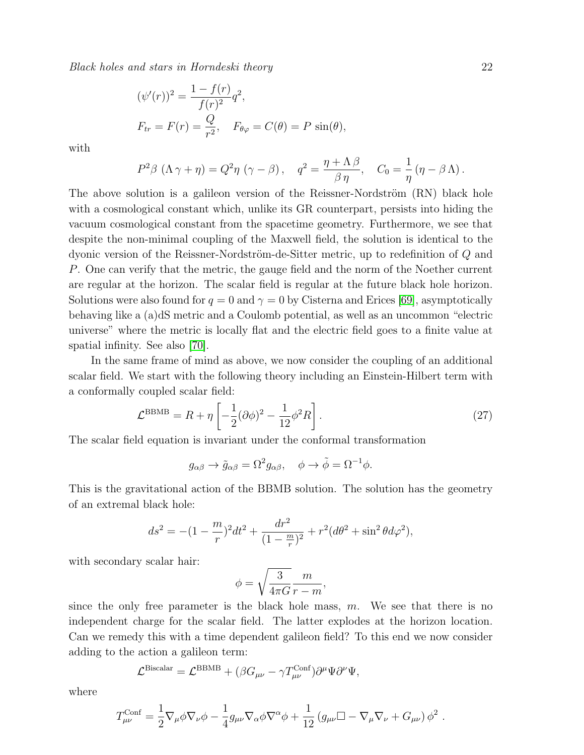Black holes and stars in Horndeski theory 22

$$
(\psi'(r))^2 = \frac{1 - f(r)}{f(r)^2} q^2,
$$
  
\n
$$
F_{tr} = F(r) = \frac{Q}{r^2}, \quad F_{\theta\varphi} = C(\theta) = P \sin(\theta),
$$

with

$$
P^2\beta\,\left(\Lambda\,\gamma + \eta\right) = Q^2\eta\,\left(\gamma - \beta\right), \quad q^2 = \frac{\eta + \Lambda\,\beta}{\beta\,\eta}, \quad C_0 = \frac{1}{\eta}\left(\eta - \beta\,\Lambda\right).
$$

The above solution is a galileon version of the Reissner-Nordström (RN) black hole with a cosmological constant which, unlike its GR counterpart, persists into hiding the vacuum cosmological constant from the spacetime geometry. Furthermore, we see that despite the non-minimal coupling of the Maxwell field, the solution is identical to the dyonic version of the Reissner-Nordström-de-Sitter metric, up to redefinition of  $Q$  and P. One can verify that the metric, the gauge field and the norm of the Noether current are regular at the horizon. The scalar field is regular at the future black hole horizon. Solutions were also found for  $q = 0$  and  $\gamma = 0$  by Cisterna and Erices [\[69\]](#page-27-24), asymptotically behaving like a (a)dS metric and a Coulomb potential, as well as an uncommon "electric universe" where the metric is locally flat and the electric field goes to a finite value at spatial infinity. See also [\[70\]](#page-27-25).

In the same frame of mind as above, we now consider the coupling of an additional scalar field. We start with the following theory including an Einstein-Hilbert term with a conformally coupled scalar field:

$$
\mathcal{L}^{\text{BBMB}} = R + \eta \left[ -\frac{1}{2} (\partial \phi)^2 - \frac{1}{12} \phi^2 R \right]. \tag{27}
$$

The scalar field equation is invariant under the conformal transformation

$$
g_{\alpha\beta} \to \tilde{g}_{\alpha\beta} = \Omega^2 g_{\alpha\beta}, \quad \phi \to \tilde{\phi} = \Omega^{-1} \phi.
$$

This is the gravitational action of the BBMB solution. The solution has the geometry of an extremal black hole:

$$
ds^{2} = -(1 - \frac{m}{r})^{2}dt^{2} + \frac{dr^{2}}{(1 - \frac{m}{r})^{2}} + r^{2}(d\theta^{2} + \sin^{2}\theta d\varphi^{2}),
$$

with secondary scalar hair:

$$
\phi = \sqrt{\frac{3}{4\pi G}} \frac{m}{r - m},
$$

since the only free parameter is the black hole mass,  $m$ . We see that there is no independent charge for the scalar field. The latter explodes at the horizon location. Can we remedy this with a time dependent galileon field? To this end we now consider adding to the action a galileon term:

$$
\mathcal{L}^{\text{Biscalar}} = \mathcal{L}^{\text{BBMB}} + (\beta G_{\mu\nu} - \gamma T^{\text{Conf}}_{\mu\nu}) \partial^{\mu} \Psi \partial^{\nu} \Psi,
$$

where

$$
T_{\mu\nu}^{\rm Conf} = \frac{1}{2}\nabla_\mu\phi\nabla_\nu\phi - \frac{1}{4}g_{\mu\nu}\nabla_\alpha\phi\nabla^\alpha\phi + \frac{1}{12}\left(g_{\mu\nu}\Box - \nabla_\mu\nabla_\nu + G_{\mu\nu}\right)\phi^2\ .
$$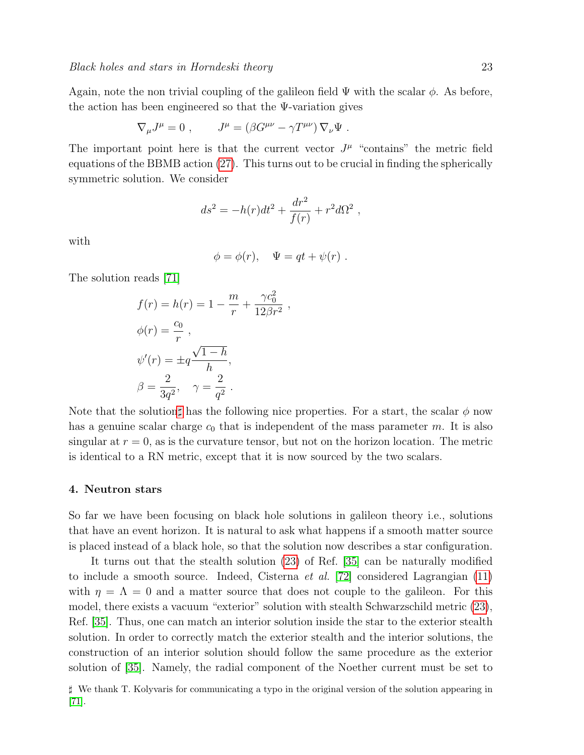Again, note the non trivial coupling of the galileon field  $\Psi$  with the scalar  $\phi$ . As before, the action has been engineered so that the  $\Psi$ -variation gives

$$
\nabla_{\mu}J^{\mu} = 0 , \qquad J^{\mu} = (\beta G^{\mu\nu} - \gamma T^{\mu\nu}) \nabla_{\nu} \Psi .
$$

The important point here is that the current vector  $J^{\mu}$  "contains" the metric field equations of the BBMB action [\(27\)](#page-20-0). This turns out to be crucial in finding the spherically symmetric solution. We consider

$$
ds^{2} = -h(r)dt^{2} + \frac{dr^{2}}{f(r)} + r^{2}d\Omega^{2} ,
$$

with

$$
\phi = \phi(r), \quad \Psi = qt + \psi(r) .
$$

The solution reads [\[71\]](#page-27-26)

$$
f(r) = h(r) = 1 - \frac{m}{r} + \frac{\gamma c_0^2}{12\beta r^2},
$$
  
\n
$$
\phi(r) = \frac{c_0}{r},
$$
  
\n
$$
\psi'(r) = \pm q \frac{\sqrt{1-h}}{h},
$$
  
\n
$$
\beta = \frac{2}{3q^2}, \quad \gamma = \frac{2}{q^2}.
$$

Note that the solution has the following nice properties. For a start, the scalar  $\phi$  now has a genuine scalar charge  $c_0$  that is independent of the mass parameter m. It is also singular at  $r = 0$ , as is the curvature tensor, but not on the horizon location. The metric is identical to a RN metric, except that it is now sourced by the two scalars.

### 4. Neutron stars

So far we have been focusing on black hole solutions in galileon theory i.e., solutions that have an event horizon. It is natural to ask what happens if a smooth matter source is placed instead of a black hole, so that the solution now describes a star configuration.

It turns out that the stealth solution [\(23\)](#page-17-1) of Ref. [\[35\]](#page-26-16) can be naturally modified to include a smooth source. Indeed, Cisterna et al. [\[72\]](#page-27-27) considered Lagrangian [\(11\)](#page-7-3) with  $\eta = \Lambda = 0$  and a matter source that does not couple to the galileon. For this model, there exists a vacuum "exterior" solution with stealth Schwarzschild metric [\(23\)](#page-17-1), Ref. [\[35\]](#page-26-16). Thus, one can match an interior solution inside the star to the exterior stealth solution. In order to correctly match the exterior stealth and the interior solutions, the construction of an interior solution should follow the same procedure as the exterior solution of [\[35\]](#page-26-16). Namely, the radial component of the Noether current must be set to

<span id="page-22-0"></span><sup>]</sup> We thank T. Kolyvaris for communicating a typo in the original version of the solution appearing in [\[71\]](#page-27-26).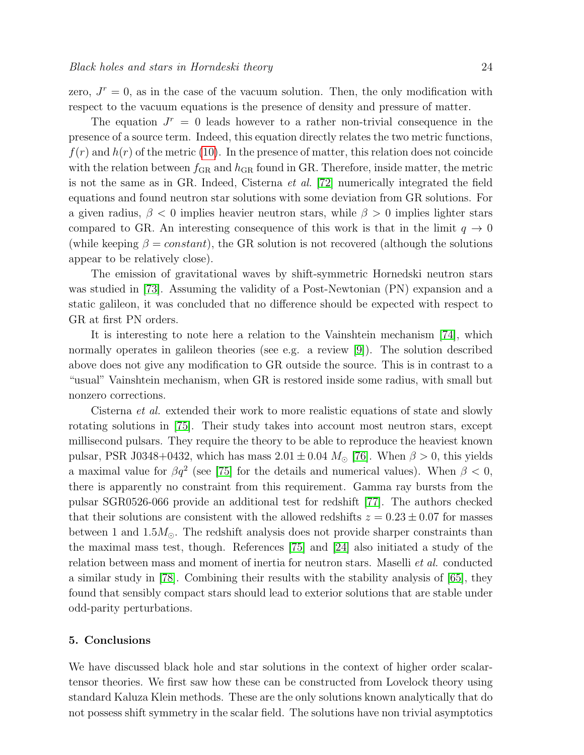zero,  $J<sup>r</sup> = 0$ , as in the case of the vacuum solution. Then, the only modification with respect to the vacuum equations is the presence of density and pressure of matter.

The equation  $J^r = 0$  leads however to a rather non-trivial consequence in the presence of a source term. Indeed, this equation directly relates the two metric functions,  $f(r)$  and  $h(r)$  of the metric [\(10\)](#page-7-1). In the presence of matter, this relation does not coincide with the relation between  $f_{\text{GR}}$  and  $h_{\text{GR}}$  found in GR. Therefore, inside matter, the metric is not the same as in GR. Indeed, Cisterna et al. [\[72\]](#page-27-27) numerically integrated the field equations and found neutron star solutions with some deviation from GR solutions. For a given radius,  $\beta < 0$  implies heavier neutron stars, while  $\beta > 0$  implies lighter stars compared to GR. An interesting consequence of this work is that in the limit  $q \to 0$ (while keeping  $\beta = constant$ ), the GR solution is not recovered (although the solutions appear to be relatively close).

The emission of gravitational waves by shift-symmetric Hornedski neutron stars was studied in [\[73\]](#page-27-28). Assuming the validity of a Post-Newtonian (PN) expansion and a static galileon, it was concluded that no difference should be expected with respect to GR at first PN orders.

It is interesting to note here a relation to the Vainshtein mechanism [\[74\]](#page-28-0), which normally operates in galileon theories (see e.g. a review [\[9\]](#page-25-8)). The solution described above does not give any modification to GR outside the source. This is in contrast to a "usual" Vainshtein mechanism, when GR is restored inside some radius, with small but nonzero corrections.

Cisterna et al. extended their work to more realistic equations of state and slowly rotating solutions in [\[75\]](#page-28-1). Their study takes into account most neutron stars, except millisecond pulsars. They require the theory to be able to reproduce the heaviest known pulsar, PSR J0348+0432, which has mass  $2.01 \pm 0.04$   $M_{\odot}$  [\[76\]](#page-28-2). When  $\beta > 0$ , this yields a maximal value for  $\beta q^2$  (see [\[75\]](#page-28-1) for the details and numerical values). When  $\beta < 0$ , there is apparently no constraint from this requirement. Gamma ray bursts from the pulsar SGR0526-066 provide an additional test for redshift [\[77\]](#page-28-3). The authors checked that their solutions are consistent with the allowed redshifts  $z = 0.23 \pm 0.07$  for masses between 1 and  $1.5M_{\odot}$ . The redshift analysis does not provide sharper constraints than the maximal mass test, though. References [\[75\]](#page-28-1) and [\[24\]](#page-26-5) also initiated a study of the relation between mass and moment of inertia for neutron stars. Maselli et al. conducted a similar study in [\[78\]](#page-28-4). Combining their results with the stability analysis of [\[65\]](#page-27-20), they found that sensibly compact stars should lead to exterior solutions that are stable under odd-parity perturbations.

#### 5. Conclusions

We have discussed black hole and star solutions in the context of higher order scalartensor theories. We first saw how these can be constructed from Lovelock theory using standard Kaluza Klein methods. These are the only solutions known analytically that do not possess shift symmetry in the scalar field. The solutions have non trivial asymptotics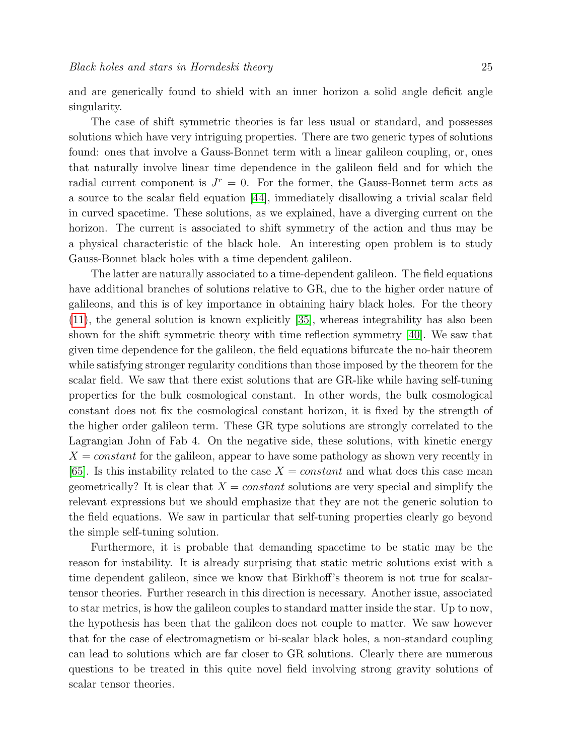and are generically found to shield with an inner horizon a solid angle deficit angle singularity.

The case of shift symmetric theories is far less usual or standard, and possesses solutions which have very intriguing properties. There are two generic types of solutions found: ones that involve a Gauss-Bonnet term with a linear galileon coupling, or, ones that naturally involve linear time dependence in the galileon field and for which the radial current component is  $J^r = 0$ . For the former, the Gauss-Bonnet term acts as a source to the scalar field equation [\[44\]](#page-26-25), immediately disallowing a trivial scalar field in curved spacetime. These solutions, as we explained, have a diverging current on the horizon. The current is associated to shift symmetry of the action and thus may be a physical characteristic of the black hole. An interesting open problem is to study Gauss-Bonnet black holes with a time dependent galileon.

The latter are naturally associated to a time-dependent galileon. The field equations have additional branches of solutions relative to GR, due to the higher order nature of galileons, and this is of key importance in obtaining hairy black holes. For the theory [\(11\)](#page-7-3), the general solution is known explicitly [\[35\]](#page-26-16), whereas integrability has also been shown for the shift symmetric theory with time reflection symmetry [\[40\]](#page-26-21). We saw that given time dependence for the galileon, the field equations bifurcate the no-hair theorem while satisfying stronger regularity conditions than those imposed by the theorem for the scalar field. We saw that there exist solutions that are GR-like while having self-tuning properties for the bulk cosmological constant. In other words, the bulk cosmological constant does not fix the cosmological constant horizon, it is fixed by the strength of the higher order galileon term. These GR type solutions are strongly correlated to the Lagrangian John of Fab 4. On the negative side, these solutions, with kinetic energy  $X = constant$  for the galileon, appear to have some pathology as shown very recently in [\[65\]](#page-27-20). Is this instability related to the case  $X = constant$  and what does this case mean geometrically? It is clear that  $X = constant$  solutions are very special and simplify the relevant expressions but we should emphasize that they are not the generic solution to the field equations. We saw in particular that self-tuning properties clearly go beyond the simple self-tuning solution.

Furthermore, it is probable that demanding spacetime to be static may be the reason for instability. It is already surprising that static metric solutions exist with a time dependent galileon, since we know that Birkhoff's theorem is not true for scalartensor theories. Further research in this direction is necessary. Another issue, associated to star metrics, is how the galileon couples to standard matter inside the star. Up to now, the hypothesis has been that the galileon does not couple to matter. We saw however that for the case of electromagnetism or bi-scalar black holes, a non-standard coupling can lead to solutions which are far closer to GR solutions. Clearly there are numerous questions to be treated in this quite novel field involving strong gravity solutions of scalar tensor theories.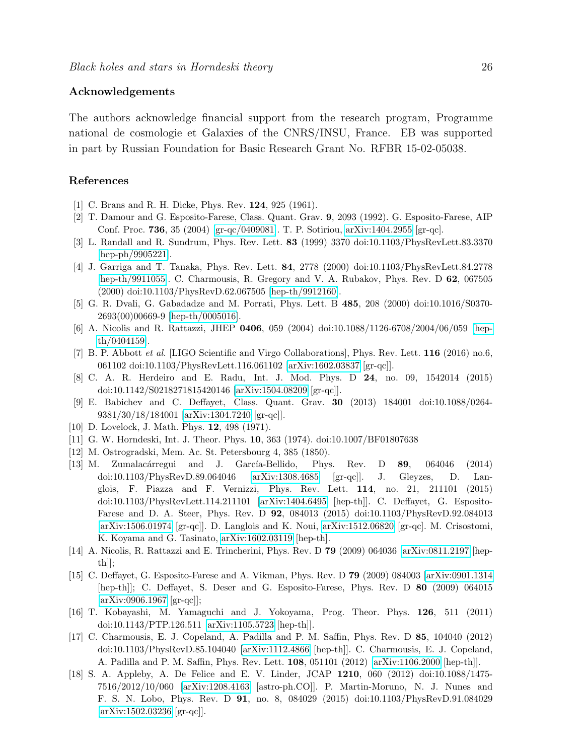# Acknowledgements

The authors acknowledge financial support from the research program, Programme national de cosmologie et Galaxies of the CNRS/INSU, France. EB was supported in part by Russian Foundation for Basic Research Grant No. RFBR 15-02-05038.

## References

- <span id="page-25-0"></span>[1] C. Brans and R. H. Dicke, Phys. Rev. 124, 925 (1961).
- <span id="page-25-1"></span>[2] T. Damour and G. Esposito-Farese, Class. Quant. Grav. 9, 2093 (1992). G. Esposito-Farese, AIP Conf. Proc. 736, 35 (2004) [\[gr-qc/0409081\]](http://arxiv.org/abs/gr-qc/0409081). T. P. Sotiriou, [arXiv:1404.2955](http://arxiv.org/abs/1404.2955) [gr-qc].
- <span id="page-25-2"></span>[3] L. Randall and R. Sundrum, Phys. Rev. Lett. 83 (1999) 3370 doi:10.1103/PhysRevLett.83.3370 [\[hep-ph/9905221\]](http://arxiv.org/abs/hep-ph/9905221).
- <span id="page-25-3"></span>[4] J. Garriga and T. Tanaka, Phys. Rev. Lett. 84, 2778 (2000) doi:10.1103/PhysRevLett.84.2778 [\[hep-th/9911055\]](http://arxiv.org/abs/hep-th/9911055). C. Charmousis, R. Gregory and V. A. Rubakov, Phys. Rev. D 62, 067505 (2000) doi:10.1103/PhysRevD.62.067505 [\[hep-th/9912160\]](http://arxiv.org/abs/hep-th/9912160).
- <span id="page-25-4"></span>[5] G. R. Dvali, G. Gabadadze and M. Porrati, Phys. Lett. B 485, 208 (2000) doi:10.1016/S0370- 2693(00)00669-9 [\[hep-th/0005016\]](http://arxiv.org/abs/hep-th/0005016).
- <span id="page-25-5"></span>[6] A. Nicolis and R. Rattazzi, JHEP 0406, 059 (2004) doi:10.1088/1126-6708/2004/06/059 [\[hep](http://arxiv.org/abs/hep-th/0404159)[th/0404159\]](http://arxiv.org/abs/hep-th/0404159).
- <span id="page-25-6"></span>[7] B. P. Abbott et al. [LIGO Scientific and Virgo Collaborations], Phys. Rev. Lett. 116 (2016) no.6, 061102 doi:10.1103/PhysRevLett.116.061102 [\[arXiv:1602.03837](http://arxiv.org/abs/1602.03837) [gr-qc]].
- <span id="page-25-7"></span>[8] C. A. R. Herdeiro and E. Radu, Int. J. Mod. Phys. D 24, no. 09, 1542014 (2015) doi:10.1142/S0218271815420146 [\[arXiv:1504.08209](http://arxiv.org/abs/1504.08209) [gr-qc]].
- <span id="page-25-8"></span>[9] E. Babichev and C. Deffayet, Class. Quant. Grav. 30 (2013) 184001 doi:10.1088/0264- 9381/30/18/184001 [\[arXiv:1304.7240](http://arxiv.org/abs/1304.7240) [gr-qc]].
- <span id="page-25-9"></span>[10] D. Lovelock, J. Math. Phys. **12**, 498 (1971).
- <span id="page-25-10"></span>[11] G. W. Horndeski, Int. J. Theor. Phys. 10, 363 (1974). doi:10.1007/BF01807638
- <span id="page-25-11"></span>[12] M. Ostrogradski, Mem. Ac. St. Petersbourg 4, 385 (1850).
- <span id="page-25-12"></span>[13] M. Zumalacárregui and J. García-Bellido, Phys. Rev. D 89, 064046 (2014) doi:10.1103/PhysRevD.89.064046 [\[arXiv:1308.4685](http://arxiv.org/abs/1308.4685) [gr-qc]]. J. Gleyzes, D. Langlois, F. Piazza and F. Vernizzi, Phys. Rev. Lett. 114, no. 21, 211101 (2015) doi:10.1103/PhysRevLett.114.211101 [\[arXiv:1404.6495](http://arxiv.org/abs/1404.6495) [hep-th]]. C. Deffayet, G. Esposito-Farese and D. A. Steer, Phys. Rev. D 92, 084013 (2015) doi:10.1103/PhysRevD.92.084013 [\[arXiv:1506.01974](http://arxiv.org/abs/1506.01974) [gr-qc]]. D. Langlois and K. Noui, [arXiv:1512.06820](http://arxiv.org/abs/1512.06820) [gr-qc]. M. Crisostomi, K. Koyama and G. Tasinato, [arXiv:1602.03119](http://arxiv.org/abs/1602.03119) [hep-th].
- <span id="page-25-13"></span>[14] A. Nicolis, R. Rattazzi and E. Trincherini, Phys. Rev. D 79 (2009) 064036 [\[arXiv:0811.2197](http://arxiv.org/abs/0811.2197) [hepth]];
- <span id="page-25-14"></span>[15] C. Deffayet, G. Esposito-Farese and A. Vikman, Phys. Rev. D 79 (2009) 084003 [\[arXiv:0901.1314](http://arxiv.org/abs/0901.1314) [hep-th]]; C. Deffayet, S. Deser and G. Esposito-Farese, Phys. Rev. D 80 (2009) 064015 [\[arXiv:0906.1967](http://arxiv.org/abs/0906.1967) [gr-qc]];
- <span id="page-25-15"></span>[16] T. Kobayashi, M. Yamaguchi and J. Yokoyama, Prog. Theor. Phys. 126, 511 (2011) doi:10.1143/PTP.126.511 [\[arXiv:1105.5723](http://arxiv.org/abs/1105.5723) [hep-th]].
- <span id="page-25-16"></span>[17] C. Charmousis, E. J. Copeland, A. Padilla and P. M. Saffin, Phys. Rev. D 85, 104040 (2012) doi:10.1103/PhysRevD.85.104040 [\[arXiv:1112.4866](http://arxiv.org/abs/1112.4866) [hep-th]]. C. Charmousis, E. J. Copeland, A. Padilla and P. M. Saffin, Phys. Rev. Lett. 108, 051101 (2012) [\[arXiv:1106.2000](http://arxiv.org/abs/1106.2000) [hep-th]].
- <span id="page-25-17"></span>[18] S. A. Appleby, A. De Felice and E. V. Linder, JCAP 1210, 060 (2012) doi:10.1088/1475- 7516/2012/10/060 [\[arXiv:1208.4163](http://arxiv.org/abs/1208.4163) [astro-ph.CO]]. P. Martin-Moruno, N. J. Nunes and F. S. N. Lobo, Phys. Rev. D 91, no. 8, 084029 (2015) doi:10.1103/PhysRevD.91.084029 [\[arXiv:1502.03236](http://arxiv.org/abs/1502.03236) [gr-qc]].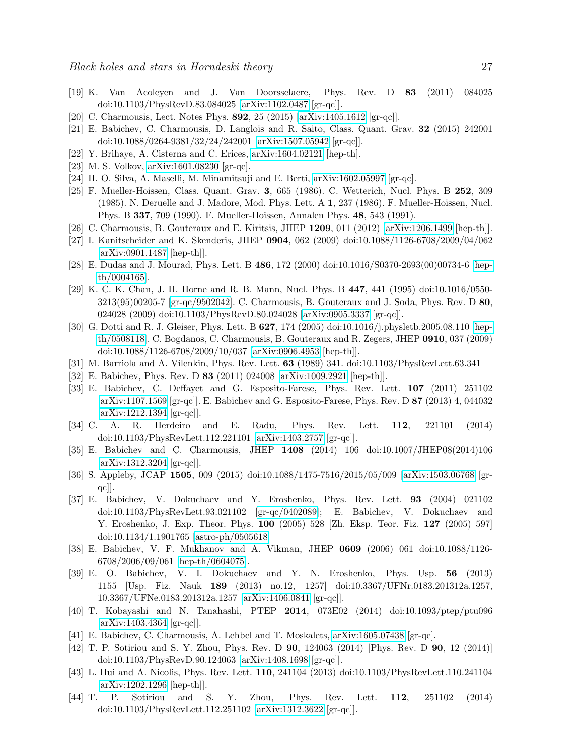- <span id="page-26-0"></span>[19] K. Van Acoleyen and J. Van Doorsselaere, Phys. Rev. D 83 (2011) 084025 doi:10.1103/PhysRevD.83.084025 [\[arXiv:1102.0487](http://arxiv.org/abs/1102.0487) [gr-qc]].
- <span id="page-26-1"></span>[20] C. Charmousis, Lect. Notes Phys. 892, 25 (2015) [\[arXiv:1405.1612](http://arxiv.org/abs/1405.1612) [gr-qc]].
- <span id="page-26-2"></span>[21] E. Babichev, C. Charmousis, D. Langlois and R. Saito, Class. Quant. Grav. 32 (2015) 242001 doi:10.1088/0264-9381/32/24/242001 [\[arXiv:1507.05942](http://arxiv.org/abs/1507.05942) [gr-qc]].
- <span id="page-26-3"></span>[22] Y. Brihaye, A. Cisterna and C. Erices, [arXiv:1604.02121](http://arxiv.org/abs/1604.02121) [hep-th].
- <span id="page-26-4"></span>[23] M. S. Volkov, [arXiv:1601.08230](http://arxiv.org/abs/1601.08230) [gr-qc].
- <span id="page-26-5"></span>[24] H. O. Silva, A. Maselli, M. Minamitsuji and E. Berti, [arXiv:1602.05997](http://arxiv.org/abs/1602.05997) [gr-qc].
- <span id="page-26-6"></span>[25] F. Mueller-Hoissen, Class. Quant. Grav. 3, 665 (1986). C. Wetterich, Nucl. Phys. B 252, 309 (1985). N. Deruelle and J. Madore, Mod. Phys. Lett. A 1, 237 (1986). F. Mueller-Hoissen, Nucl. Phys. B 337, 709 (1990). F. Mueller-Hoissen, Annalen Phys. 48, 543 (1991).
- <span id="page-26-7"></span>[26] C. Charmousis, B. Gouteraux and E. Kiritsis, JHEP 1209, 011 (2012) [\[arXiv:1206.1499](http://arxiv.org/abs/1206.1499) [hep-th]].
- <span id="page-26-8"></span>[27] I. Kanitscheider and K. Skenderis, JHEP 0904, 062 (2009) doi:10.1088/1126-6708/2009/04/062 [\[arXiv:0901.1487](http://arxiv.org/abs/0901.1487) [hep-th]].
- <span id="page-26-9"></span>[28] E. Dudas and J. Mourad, Phys. Lett. B 486, 172 (2000) doi:10.1016/S0370-2693(00)00734-6 [\[hep](http://arxiv.org/abs/hep-th/0004165)[th/0004165\]](http://arxiv.org/abs/hep-th/0004165).
- <span id="page-26-10"></span>[29] K. C. K. Chan, J. H. Horne and R. B. Mann, Nucl. Phys. B 447, 441 (1995) doi:10.1016/0550- 3213(95)00205-7 [\[gr-qc/9502042\]](http://arxiv.org/abs/gr-qc/9502042). C. Charmousis, B. Gouteraux and J. Soda, Phys. Rev. D 80, 024028 (2009) doi:10.1103/PhysRevD.80.024028 [\[arXiv:0905.3337](http://arxiv.org/abs/0905.3337) [gr-qc]].
- <span id="page-26-11"></span>[30] G. Dotti and R. J. Gleiser, Phys. Lett. B 627, 174 (2005) doi:10.1016/j.physletb.2005.08.110 [\[hep](http://arxiv.org/abs/hep-th/0508118)[th/0508118\]](http://arxiv.org/abs/hep-th/0508118). C. Bogdanos, C. Charmousis, B. Gouteraux and R. Zegers, JHEP 0910, 037 (2009) doi:10.1088/1126-6708/2009/10/037 [\[arXiv:0906.4953](http://arxiv.org/abs/0906.4953) [hep-th]].
- <span id="page-26-12"></span>[31] M. Barriola and A. Vilenkin, Phys. Rev. Lett. 63 (1989) 341. doi:10.1103/PhysRevLett.63.341
- <span id="page-26-13"></span>[32] E. Babichev, Phys. Rev. D 83 (2011) 024008 [\[arXiv:1009.2921](http://arxiv.org/abs/1009.2921) [hep-th]].
- <span id="page-26-14"></span>[33] E. Babichev, C. Deffayet and G. Esposito-Farese, Phys. Rev. Lett. 107 (2011) 251102 [\[arXiv:1107.1569](http://arxiv.org/abs/1107.1569) [gr-qc]]. E. Babichev and G. Esposito-Farese, Phys. Rev. D 87 (2013) 4, 044032 [\[arXiv:1212.1394](http://arxiv.org/abs/1212.1394) [gr-qc]].
- <span id="page-26-15"></span>[34] C. A. R. Herdeiro and E. Radu, Phys. Rev. Lett. 112, 221101 (2014) doi:10.1103/PhysRevLett.112.221101 [\[arXiv:1403.2757](http://arxiv.org/abs/1403.2757) [gr-qc]].
- <span id="page-26-16"></span>[35] E. Babichev and C. Charmousis, JHEP 1408 (2014) 106 doi:10.1007/JHEP08(2014)106 [\[arXiv:1312.3204](http://arxiv.org/abs/1312.3204) [gr-qc]].
- <span id="page-26-17"></span>[36] S. Appleby, JCAP 1505, 009 (2015) doi:10.1088/1475-7516/2015/05/009 [\[arXiv:1503.06768](http://arxiv.org/abs/1503.06768) [grqc]].
- <span id="page-26-18"></span>[37] E. Babichev, V. Dokuchaev and Y. Eroshenko, Phys. Rev. Lett. 93 (2004) 021102 doi:10.1103/PhysRevLett.93.021102 [\[gr-qc/0402089\]](http://arxiv.org/abs/gr-qc/0402089); E. Babichev, V. Dokuchaev and Y. Eroshenko, J. Exp. Theor. Phys. 100 (2005) 528 [Zh. Eksp. Teor. Fiz. 127 (2005) 597] doi:10.1134/1.1901765 [\[astro-ph/0505618\]](http://arxiv.org/abs/astro-ph/0505618)
- <span id="page-26-19"></span>[38] E. Babichev, V. F. Mukhanov and A. Vikman, JHEP 0609 (2006) 061 doi:10.1088/1126- 6708/2006/09/061 [\[hep-th/0604075\]](http://arxiv.org/abs/hep-th/0604075).
- <span id="page-26-20"></span>[39] E. O. Babichev, V. I. Dokuchaev and Y. N. Eroshenko, Phys. Usp. 56 (2013) 1155 [Usp. Fiz. Nauk 189 (2013) no.12, 1257] doi:10.3367/UFNr.0183.201312a.1257, 10.3367/UFNe.0183.201312a.1257 [\[arXiv:1406.0841](http://arxiv.org/abs/1406.0841) [gr-qc]].
- <span id="page-26-21"></span>[40] T. Kobayashi and N. Tanahashi, PTEP 2014, 073E02 (2014) doi:10.1093/ptep/ptu096 [\[arXiv:1403.4364](http://arxiv.org/abs/1403.4364) [gr-qc]].
- <span id="page-26-22"></span>[41] E. Babichev, C. Charmousis, A. Lehbel and T. Moskalets, [arXiv:1605.07438](http://arxiv.org/abs/1605.07438) [gr-qc].
- <span id="page-26-23"></span>[42] T. P. Sotiriou and S. Y. Zhou, Phys. Rev. D 90, 124063 (2014) [Phys. Rev. D 90, 12 (2014)] doi:10.1103/PhysRevD.90.124063 [\[arXiv:1408.1698](http://arxiv.org/abs/1408.1698) [gr-qc]].
- <span id="page-26-24"></span>[43] L. Hui and A. Nicolis, Phys. Rev. Lett. 110, 241104 (2013) doi:10.1103/PhysRevLett.110.241104 [\[arXiv:1202.1296](http://arxiv.org/abs/1202.1296) [hep-th]].
- <span id="page-26-25"></span>[44] T. P. Sotiriou and S. Y. Zhou, Phys. Rev. Lett. 112, 251102 (2014) doi:10.1103/PhysRevLett.112.251102 [\[arXiv:1312.3622](http://arxiv.org/abs/1312.3622) [gr-qc]].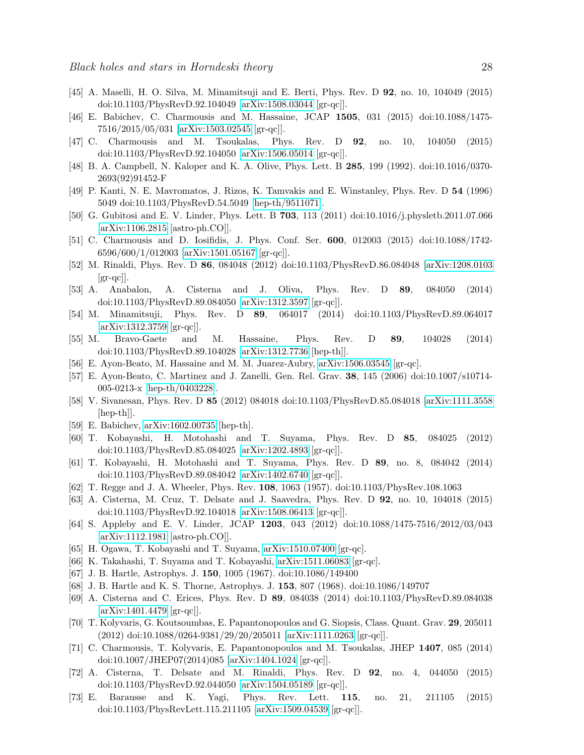- <span id="page-27-0"></span>[45] A. Maselli, H. O. Silva, M. Minamitsuji and E. Berti, Phys. Rev. D 92, no. 10, 104049 (2015) doi:10.1103/PhysRevD.92.104049 [\[arXiv:1508.03044](http://arxiv.org/abs/1508.03044) [gr-qc]].
- <span id="page-27-1"></span>[46] E. Babichev, C. Charmousis and M. Hassaine, JCAP 1505, 031 (2015) doi:10.1088/1475- 7516/2015/05/031 [\[arXiv:1503.02545](http://arxiv.org/abs/1503.02545) [gr-qc]].
- <span id="page-27-2"></span>[47] C. Charmousis and M. Tsoukalas, Phys. Rev. D 92, no. 10, 104050 (2015) doi:10.1103/PhysRevD.92.104050 [\[arXiv:1506.05014](http://arxiv.org/abs/1506.05014) [gr-qc]].
- <span id="page-27-3"></span>[48] B. A. Campbell, N. Kaloper and K. A. Olive, Phys. Lett. B 285, 199 (1992). doi:10.1016/0370- 2693(92)91452-F
- <span id="page-27-4"></span>[49] P. Kanti, N. E. Mavromatos, J. Rizos, K. Tamvakis and E. Winstanley, Phys. Rev. D 54 (1996) 5049 doi:10.1103/PhysRevD.54.5049 [\[hep-th/9511071\]](http://arxiv.org/abs/hep-th/9511071).
- <span id="page-27-5"></span>[50] G. Gubitosi and E. V. Linder, Phys. Lett. B 703, 113 (2011) doi:10.1016/j.physletb.2011.07.066 [\[arXiv:1106.2815](http://arxiv.org/abs/1106.2815) [astro-ph.CO]].
- <span id="page-27-6"></span>[51] C. Charmousis and D. Iosifidis, J. Phys. Conf. Ser. 600, 012003 (2015) doi:10.1088/1742- 6596/600/1/012003 [\[arXiv:1501.05167](http://arxiv.org/abs/1501.05167) [gr-qc]].
- <span id="page-27-7"></span>[52] M. Rinaldi, Phys. Rev. D 86, 084048 (2012) doi:10.1103/PhysRevD.86.084048 [\[arXiv:1208.0103](http://arxiv.org/abs/1208.0103)  $[gr-qc]$ .
- <span id="page-27-8"></span>[53] A. Anabalon, A. Cisterna and J. Oliva, Phys. Rev. D 89, 084050 (2014) doi:10.1103/PhysRevD.89.084050 [\[arXiv:1312.3597](http://arxiv.org/abs/1312.3597) [gr-qc]].
- <span id="page-27-9"></span>[54] M. Minamitsuji, Phys. Rev. D 89, 064017 (2014) doi:10.1103/PhysRevD.89.064017 [\[arXiv:1312.3759](http://arxiv.org/abs/1312.3759) [gr-qc]].
- <span id="page-27-10"></span>[55] M. Bravo-Gaete and M. Hassaine, Phys. Rev. D 89, 104028 (2014) doi:10.1103/PhysRevD.89.104028 [\[arXiv:1312.7736](http://arxiv.org/abs/1312.7736) [hep-th]].
- <span id="page-27-11"></span>[56] E. Ayon-Beato, M. Hassaine and M. M. Juarez-Aubry, [arXiv:1506.03545](http://arxiv.org/abs/1506.03545) [gr-qc].
- <span id="page-27-12"></span>[57] E. Ayon-Beato, C. Martinez and J. Zanelli, Gen. Rel. Grav. 38, 145 (2006) doi:10.1007/s10714- 005-0213-x [\[hep-th/0403228\]](http://arxiv.org/abs/hep-th/0403228).
- <span id="page-27-13"></span>[58] V. Sivanesan, Phys. Rev. D 85 (2012) 084018 doi:10.1103/PhysRevD.85.084018 [\[arXiv:1111.3558](http://arxiv.org/abs/1111.3558) [hep-th]].
- <span id="page-27-17"></span>[59] E. Babichev, [arXiv:1602.00735](http://arxiv.org/abs/1602.00735) [hep-th].
- <span id="page-27-14"></span>[60] T. Kobayashi, H. Motohashi and T. Suyama, Phys. Rev. D 85, 084025 (2012) doi:10.1103/PhysRevD.85.084025 [\[arXiv:1202.4893](http://arxiv.org/abs/1202.4893) [gr-qc]].
- <span id="page-27-15"></span>[61] T. Kobayashi, H. Motohashi and T. Suyama, Phys. Rev. D 89, no. 8, 084042 (2014) doi:10.1103/PhysRevD.89.084042 [\[arXiv:1402.6740](http://arxiv.org/abs/1402.6740) [gr-qc]].
- <span id="page-27-16"></span>[62] T. Regge and J. A. Wheeler, Phys. Rev. 108, 1063 (1957). doi:10.1103/PhysRev.108.1063
- <span id="page-27-18"></span>[63] A. Cisterna, M. Cruz, T. Delsate and J. Saavedra, Phys. Rev. D 92, no. 10, 104018 (2015) doi:10.1103/PhysRevD.92.104018 [\[arXiv:1508.06413](http://arxiv.org/abs/1508.06413) [gr-qc]].
- <span id="page-27-19"></span>[64] S. Appleby and E. V. Linder, JCAP 1203, 043 (2012) doi:10.1088/1475-7516/2012/03/043 [\[arXiv:1112.1981](http://arxiv.org/abs/1112.1981) [astro-ph.CO]].
- <span id="page-27-20"></span>[65] H. Ogawa, T. Kobayashi and T. Suyama, [arXiv:1510.07400](http://arxiv.org/abs/1510.07400) [gr-qc].
- <span id="page-27-21"></span>[66] K. Takahashi, T. Suyama and T. Kobayashi, [arXiv:1511.06083](http://arxiv.org/abs/1511.06083) [gr-qc].
- <span id="page-27-22"></span>[67] J. B. Hartle, Astrophys. J. 150, 1005 (1967). doi:10.1086/149400
- <span id="page-27-23"></span>[68] J. B. Hartle and K. S. Thorne, Astrophys. J. 153, 807 (1968). doi:10.1086/149707
- <span id="page-27-24"></span>[69] A. Cisterna and C. Erices, Phys. Rev. D 89, 084038 (2014) doi:10.1103/PhysRevD.89.084038 [\[arXiv:1401.4479](http://arxiv.org/abs/1401.4479) [gr-qc]].
- <span id="page-27-25"></span>[70] T. Kolyvaris, G. Koutsoumbas, E. Papantonopoulos and G. Siopsis, Class. Quant. Grav. 29, 205011 (2012) doi:10.1088/0264-9381/29/20/205011 [\[arXiv:1111.0263](http://arxiv.org/abs/1111.0263) [gr-qc]].
- <span id="page-27-26"></span>[71] C. Charmousis, T. Kolyvaris, E. Papantonopoulos and M. Tsoukalas, JHEP 1407, 085 (2014) doi:10.1007/JHEP07(2014)085 [\[arXiv:1404.1024](http://arxiv.org/abs/1404.1024) [gr-qc]].
- <span id="page-27-27"></span>[72] A. Cisterna, T. Delsate and M. Rinaldi, Phys. Rev. D 92, no. 4, 044050 (2015) doi:10.1103/PhysRevD.92.044050 [\[arXiv:1504.05189](http://arxiv.org/abs/1504.05189) [gr-qc]].
- <span id="page-27-28"></span>[73] E. Barausse and K. Yagi, Phys. Rev. Lett. 115, no. 21, 211105 (2015) doi:10.1103/PhysRevLett.115.211105 [\[arXiv:1509.04539](http://arxiv.org/abs/1509.04539) [gr-qc]].